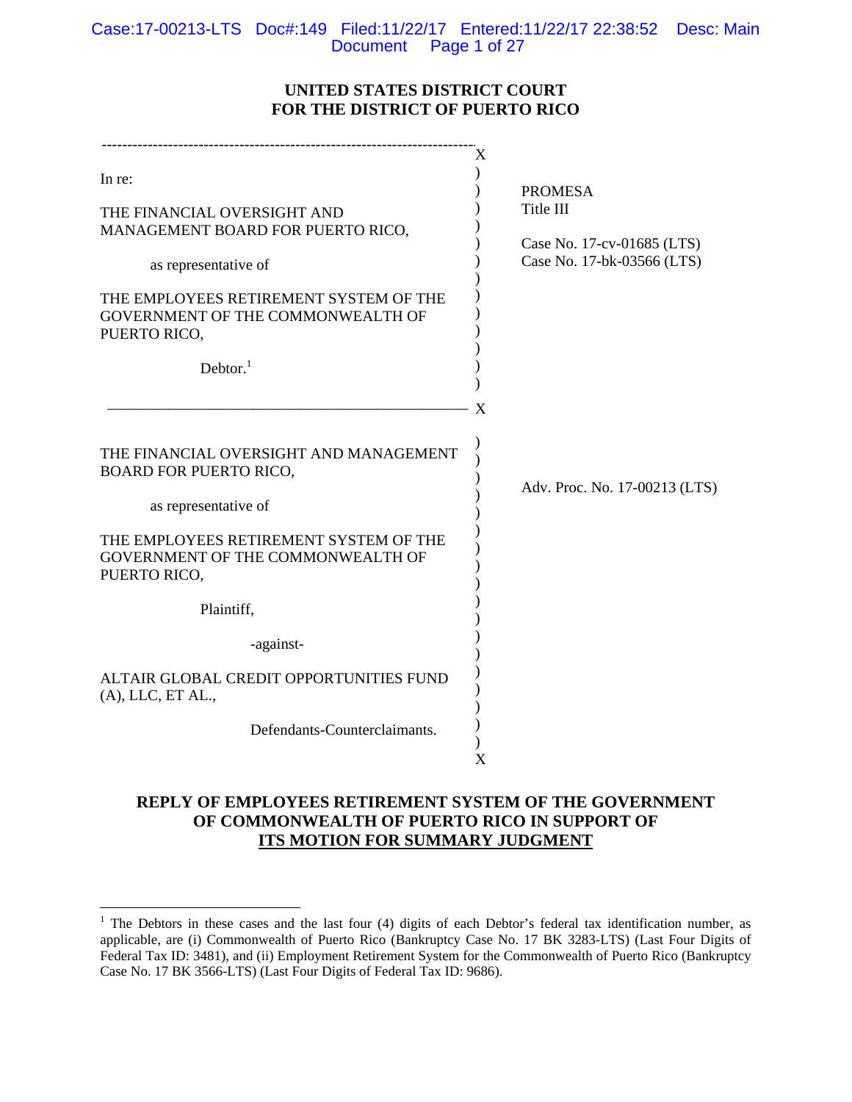Case:17-00213-LTS Doc#:149 Filed:11/22/17 Entered:11/22/17 22:38:52 Desc: Main Document Page 1 of 27

# **UNITED STATES DISTRICT COURT FOR THE DISTRICT OF PUERTO RICO**

| In re:                                                                                                                                    | Χ<br><b>PROMESA</b>                                                   |
|-------------------------------------------------------------------------------------------------------------------------------------------|-----------------------------------------------------------------------|
| THE FINANCIAL OVERSIGHT AND<br>MANAGEMENT BOARD FOR PUERTO RICO,<br>as representative of                                                  | Title III<br>Case No. 17-cv-01685 (LTS)<br>Case No. 17-bk-03566 (LTS) |
| THE EMPLOYEES RETIREMENT SYSTEM OF THE<br>GOVERNMENT OF THE COMMONWEALTH OF<br>PUERTO RICO,                                               |                                                                       |
| Dektor. <sup>1</sup>                                                                                                                      | X                                                                     |
| THE FINANCIAL OVERSIGHT AND MANAGEMENT<br><b>BOARD FOR PUERTO RICO,</b><br>as representative of<br>THE EMPLOYEES RETIREMENT SYSTEM OF THE | Adv. Proc. No. 17-00213 (LTS)                                         |
| GOVERNMENT OF THE COMMONWEALTH OF<br>PUERTO RICO,<br>Plaintiff,                                                                           |                                                                       |
| -against-                                                                                                                                 |                                                                       |
| ALTAIR GLOBAL CREDIT OPPORTUNITIES FUND<br>$(A)$ , LLC, ET AL.,                                                                           |                                                                       |
| Defendants-Counterclaimants.                                                                                                              | X                                                                     |

# **REPLY OF EMPLOYEES RETIREMENT SYSTEM OF THE GOVERNMENT OF COMMONWEALTH OF PUERTO RICO IN SUPPORT OF ITS MOTION FOR SUMMARY JUDGMENT**

 $\overline{a}$ 

<sup>&</sup>lt;sup>1</sup> The Debtors in these cases and the last four (4) digits of each Debtor's federal tax identification number, as applicable, are (i) Commonwealth of Puerto Rico (Bankruptcy Case No. 17 BK 3283-LTS) (Last Four Digits of Federal Tax ID: 3481), and (ii) Employment Retirement System for the Commonwealth of Puerto Rico (Bankruptcy Case No. 17 BK 3566-LTS) (Last Four Digits of Federal Tax ID: 9686).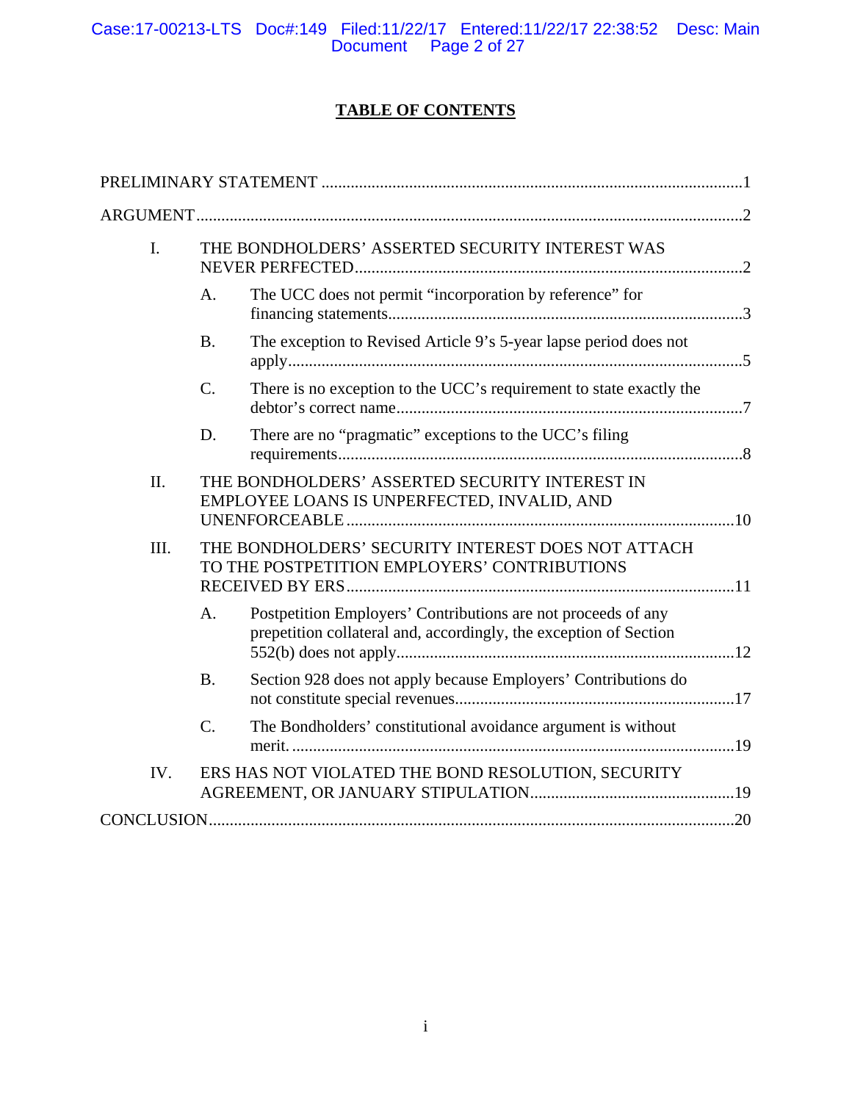Case:17-00213-LTS Doc#:149 Filed:11/22/17 Entered:11/22/17 22:38:52 Desc: Main Document Page 2 of 27

# **TABLE OF CONTENTS**

| I.   |                 | THE BONDHOLDERS' ASSERTED SECURITY INTEREST WAS                                                                                    |  |
|------|-----------------|------------------------------------------------------------------------------------------------------------------------------------|--|
|      | A.              | The UCC does not permit "incorporation by reference" for                                                                           |  |
|      | <b>B.</b>       | The exception to Revised Article 9's 5-year lapse period does not                                                                  |  |
|      | C.              | There is no exception to the UCC's requirement to state exactly the                                                                |  |
|      | D.              | There are no "pragmatic" exceptions to the UCC's filing                                                                            |  |
| II.  |                 | THE BONDHOLDERS' ASSERTED SECURITY INTEREST IN<br>EMPLOYEE LOANS IS UNPERFECTED, INVALID, AND                                      |  |
| III. |                 | THE BONDHOLDERS' SECURITY INTEREST DOES NOT ATTACH<br>TO THE POSTPETITION EMPLOYERS' CONTRIBUTIONS                                 |  |
|      | A.              | Postpetition Employers' Contributions are not proceeds of any<br>prepetition collateral and, accordingly, the exception of Section |  |
|      | <b>B.</b>       | Section 928 does not apply because Employers' Contributions do                                                                     |  |
|      | $\mathcal{C}$ . | The Bondholders' constitutional avoidance argument is without                                                                      |  |
| IV.  |                 | ERS HAS NOT VIOLATED THE BOND RESOLUTION, SECURITY                                                                                 |  |
|      |                 |                                                                                                                                    |  |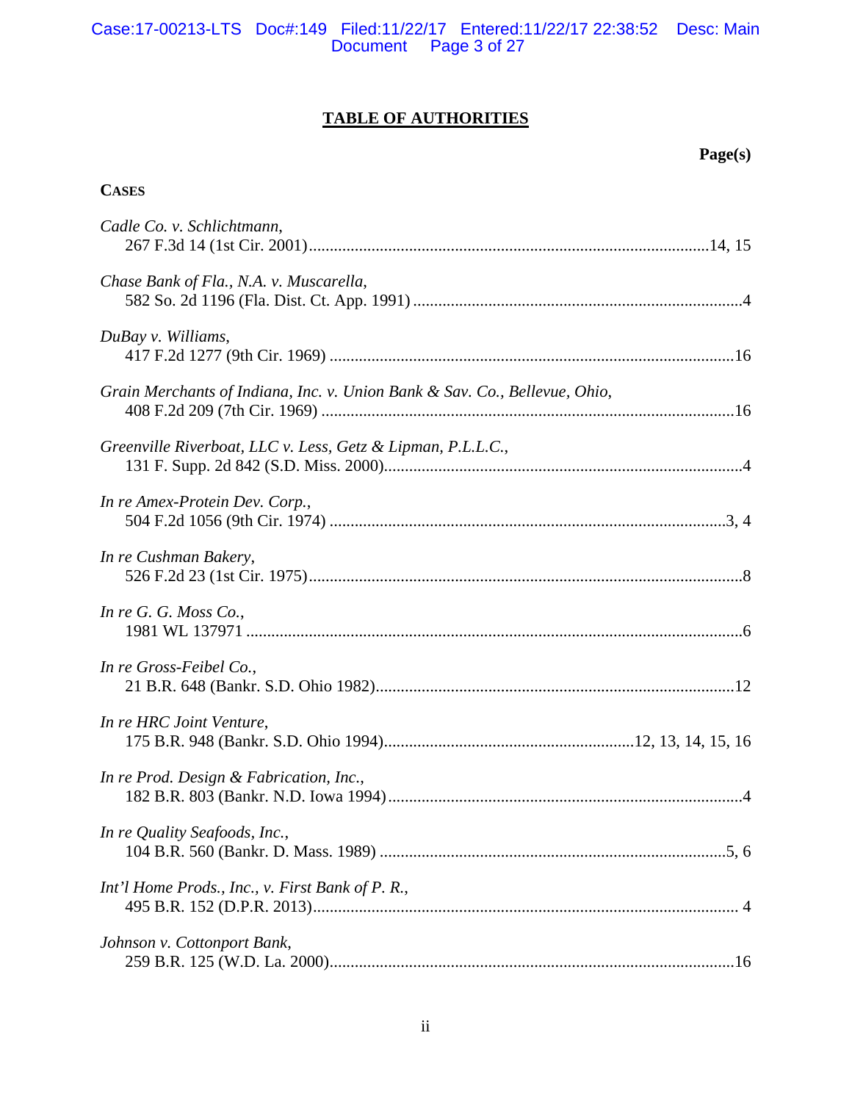# Case:17-00213-LTS Doc#:149 Filed:11/22/17 Entered:11/22/17 22:38:52 Desc: Main Document Page 3 of 27

# **TABLE OF AUTHORITIES**

# **Page(s)**

# **CASES**

| Cadle Co. v. Schlichtmann,                                                 |
|----------------------------------------------------------------------------|
| Chase Bank of Fla., N.A. v. Muscarella,                                    |
| DuBay v. Williams,                                                         |
| Grain Merchants of Indiana, Inc. v. Union Bank & Sav. Co., Bellevue, Ohio, |
| Greenville Riverboat, LLC v. Less, Getz & Lipman, P.L.L.C.,                |
| In re Amex-Protein Dev. Corp.,                                             |
| In re Cushman Bakery,                                                      |
| In re G. G. Moss Co.,                                                      |
| In re Gross-Feibel Co.,                                                    |
| In re HRC Joint Venture,                                                   |
| In re Prod. Design & Fabrication, Inc.,                                    |
| In re Quality Seafoods, Inc.,                                              |
| Int'l Home Prods., Inc., v. First Bank of P. R.,                           |
| Johnson v. Cottonport Bank,                                                |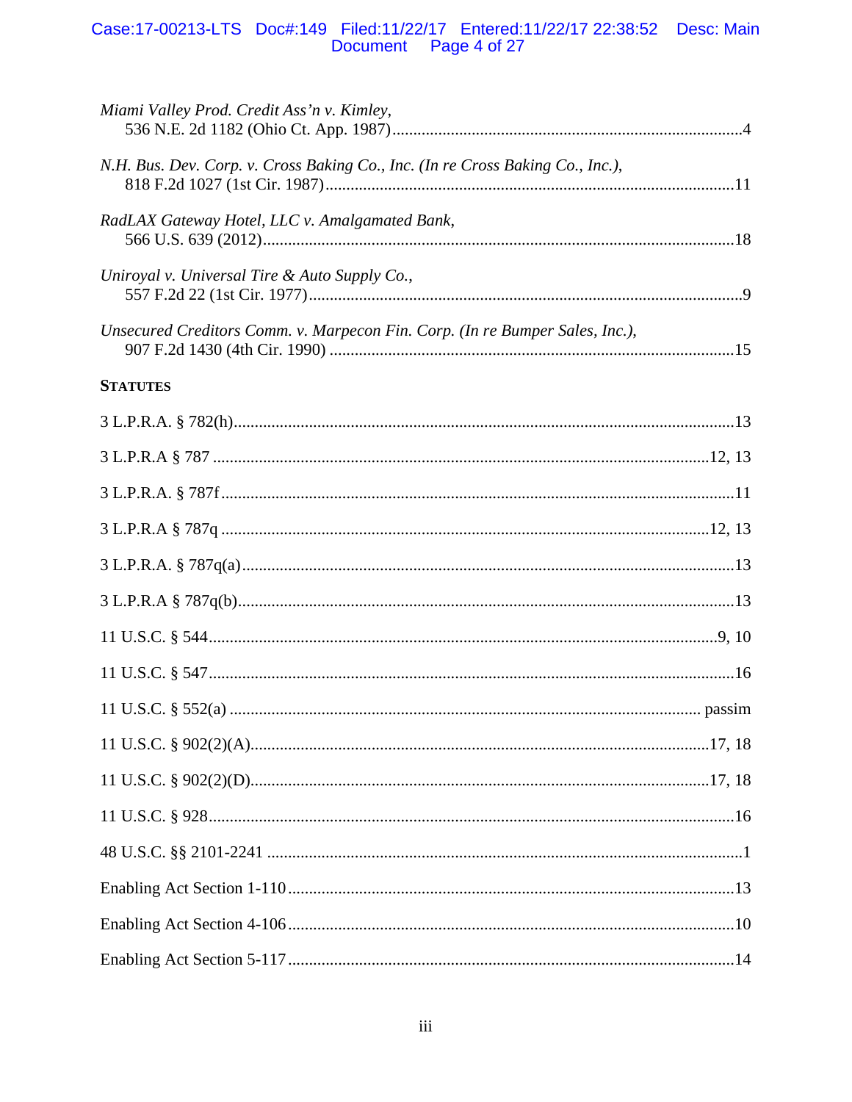# Case:17-00213-LTS Doc#:149 Filed:11/22/17 Entered:11/22/17 22:38:52 Desc: Main<br>Document Page 4 of 27

| Miami Valley Prod. Credit Ass'n v. Kimley,                                     |  |
|--------------------------------------------------------------------------------|--|
| N.H. Bus. Dev. Corp. v. Cross Baking Co., Inc. (In re Cross Baking Co., Inc.), |  |
| RadLAX Gateway Hotel, LLC v. Amalgamated Bank,                                 |  |
| Uniroyal v. Universal Tire & Auto Supply Co.,                                  |  |
| Unsecured Creditors Comm. v. Marpecon Fin. Corp. (In re Bumper Sales, Inc.),   |  |
| <b>STATUTES</b>                                                                |  |
|                                                                                |  |
|                                                                                |  |
|                                                                                |  |
|                                                                                |  |
|                                                                                |  |
|                                                                                |  |
|                                                                                |  |
|                                                                                |  |
|                                                                                |  |
|                                                                                |  |
|                                                                                |  |
|                                                                                |  |
|                                                                                |  |
|                                                                                |  |
|                                                                                |  |
|                                                                                |  |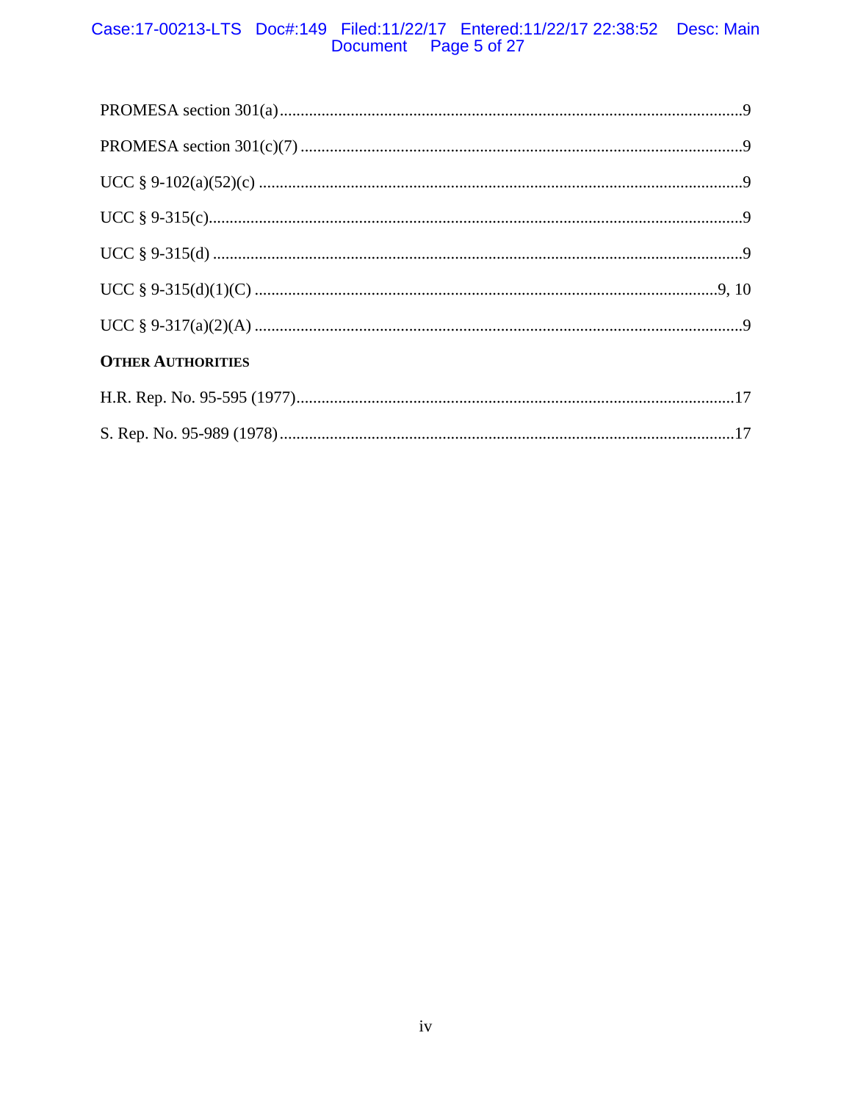# Case:17-00213-LTS Doc#:149 Filed:11/22/17 Entered:11/22/17 22:38:52 Desc: Main<br>Document Page 5 of 27

| <b>OTHER AUTHORITIES</b> |  |
|--------------------------|--|
|                          |  |
|                          |  |
|                          |  |
|                          |  |
|                          |  |
|                          |  |
|                          |  |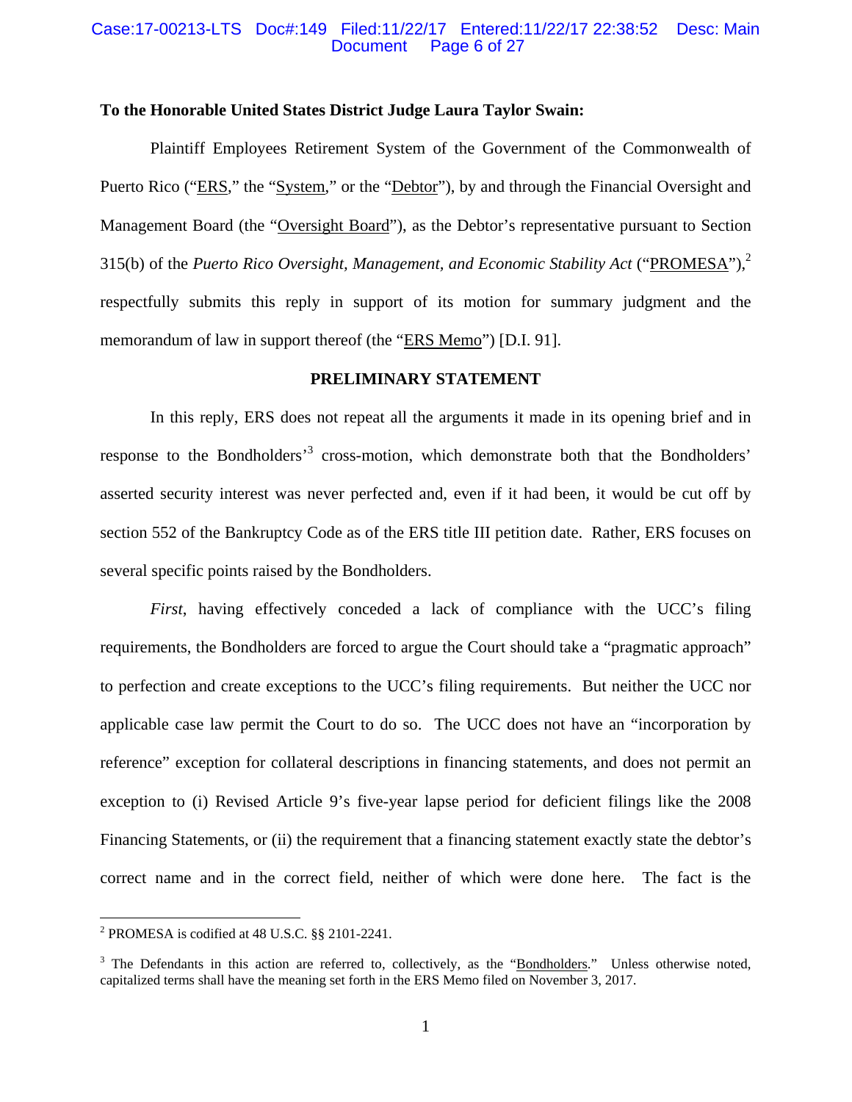#### Case:17-00213-LTS Doc#:149 Filed:11/22/17 Entered:11/22/17 22:38:52 Desc: Main Page 6 of 27

#### **To the Honorable United States District Judge Laura Taylor Swain:**

Plaintiff Employees Retirement System of the Government of the Commonwealth of Puerto Rico ("ERS," the "System," or the "Debtor"), by and through the Financial Oversight and Management Board (the "Oversight Board"), as the Debtor's representative pursuant to Section 315(b) of the *Puerto Rico Oversight, Management, and Economic Stability Act* ("PROMESA"),2 respectfully submits this reply in support of its motion for summary judgment and the memorandum of law in support thereof (the "ERS Memo") [D.I. 91].

#### **PRELIMINARY STATEMENT**

In this reply, ERS does not repeat all the arguments it made in its opening brief and in response to the Bondholders<sup>3</sup> cross-motion, which demonstrate both that the Bondholders' asserted security interest was never perfected and, even if it had been, it would be cut off by section 552 of the Bankruptcy Code as of the ERS title III petition date. Rather, ERS focuses on several specific points raised by the Bondholders.

*First*, having effectively conceded a lack of compliance with the UCC's filing requirements, the Bondholders are forced to argue the Court should take a "pragmatic approach" to perfection and create exceptions to the UCC's filing requirements. But neither the UCC nor applicable case law permit the Court to do so. The UCC does not have an "incorporation by reference" exception for collateral descriptions in financing statements, and does not permit an exception to (i) Revised Article 9's five-year lapse period for deficient filings like the 2008 Financing Statements, or (ii) the requirement that a financing statement exactly state the debtor's correct name and in the correct field, neither of which were done here. The fact is the

1

<sup>&</sup>lt;sup>2</sup> PROMESA is codified at 48 U.S.C.  $\S$ § 2101-2241.

<sup>&</sup>lt;sup>3</sup> The Defendants in this action are referred to, collectively, as the "Bondholders." Unless otherwise noted, capitalized terms shall have the meaning set forth in the ERS Memo filed on November 3, 2017.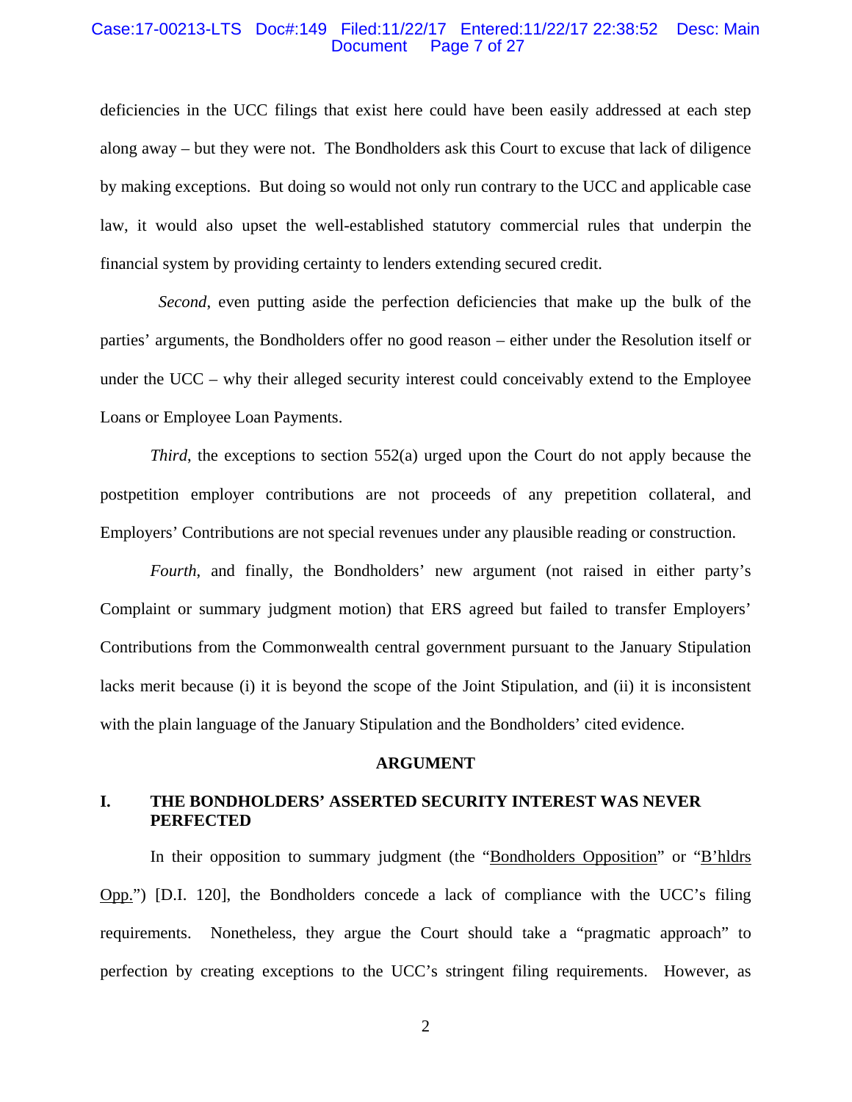#### Case:17-00213-LTS Doc#:149 Filed:11/22/17 Entered:11/22/17 22:38:52 Desc: Main Page 7 of 27

deficiencies in the UCC filings that exist here could have been easily addressed at each step along away – but they were not. The Bondholders ask this Court to excuse that lack of diligence by making exceptions. But doing so would not only run contrary to the UCC and applicable case law, it would also upset the well-established statutory commercial rules that underpin the financial system by providing certainty to lenders extending secured credit.

 *Second*, even putting aside the perfection deficiencies that make up the bulk of the parties' arguments, the Bondholders offer no good reason – either under the Resolution itself or under the UCC – why their alleged security interest could conceivably extend to the Employee Loans or Employee Loan Payments.

*Third*, the exceptions to section 552(a) urged upon the Court do not apply because the postpetition employer contributions are not proceeds of any prepetition collateral, and Employers' Contributions are not special revenues under any plausible reading or construction.

*Fourth*, and finally, the Bondholders' new argument (not raised in either party's Complaint or summary judgment motion) that ERS agreed but failed to transfer Employers' Contributions from the Commonwealth central government pursuant to the January Stipulation lacks merit because (i) it is beyond the scope of the Joint Stipulation, and (ii) it is inconsistent with the plain language of the January Stipulation and the Bondholders' cited evidence.

#### **ARGUMENT**

# **I. THE BONDHOLDERS' ASSERTED SECURITY INTEREST WAS NEVER PERFECTED**

In their opposition to summary judgment (the "Bondholders Opposition" or "B'hldrs" Opp.") [D.I. 120], the Bondholders concede a lack of compliance with the UCC's filing requirements. Nonetheless, they argue the Court should take a "pragmatic approach" to perfection by creating exceptions to the UCC's stringent filing requirements. However, as

2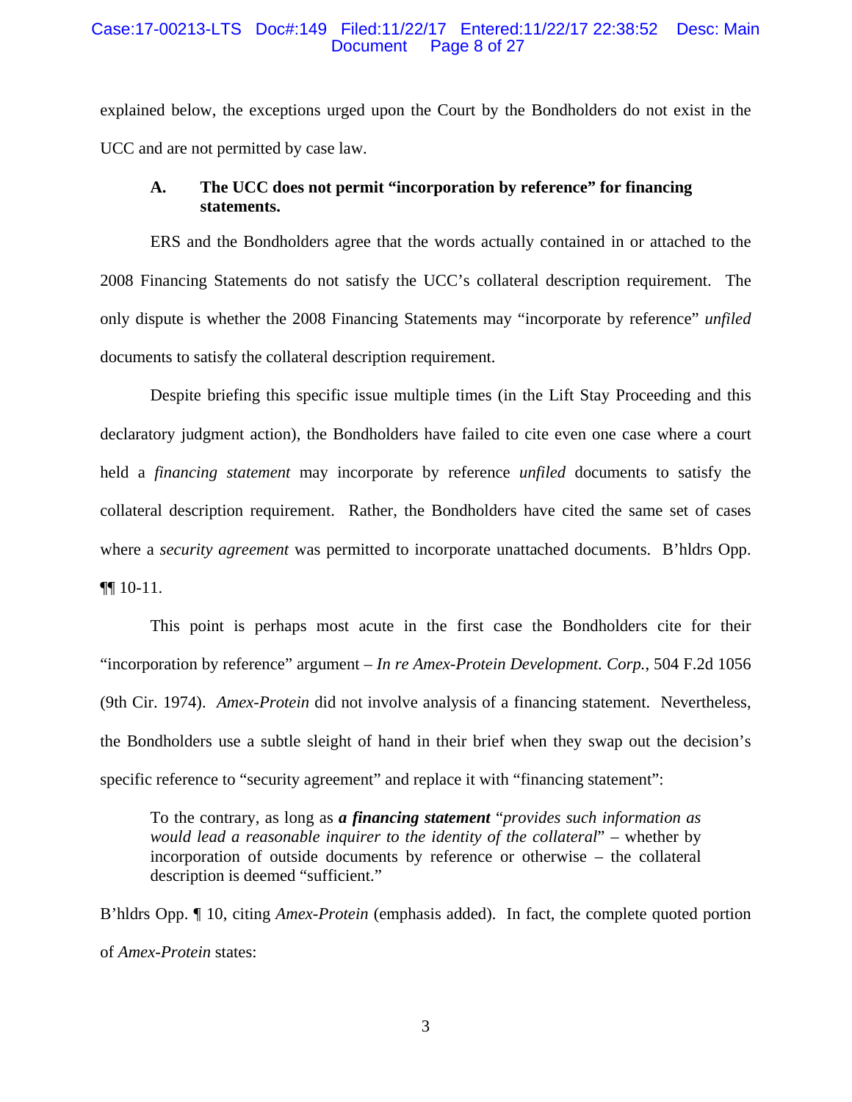#### Case:17-00213-LTS Doc#:149 Filed:11/22/17 Entered:11/22/17 22:38:52 Desc: Main Document Page 8 of 27

explained below, the exceptions urged upon the Court by the Bondholders do not exist in the UCC and are not permitted by case law.

## **A. The UCC does not permit "incorporation by reference" for financing statements.**

ERS and the Bondholders agree that the words actually contained in or attached to the 2008 Financing Statements do not satisfy the UCC's collateral description requirement. The only dispute is whether the 2008 Financing Statements may "incorporate by reference" *unfiled* documents to satisfy the collateral description requirement.

Despite briefing this specific issue multiple times (in the Lift Stay Proceeding and this declaratory judgment action), the Bondholders have failed to cite even one case where a court held a *financing statement* may incorporate by reference *unfiled* documents to satisfy the collateral description requirement. Rather, the Bondholders have cited the same set of cases where a *security agreement* was permitted to incorporate unattached documents. B'hldrs Opp. ¶¶ 10-11.

This point is perhaps most acute in the first case the Bondholders cite for their "incorporation by reference" argument – *In re Amex-Protein Development. Corp.*, 504 F.2d 1056 (9th Cir. 1974). *Amex-Protein* did not involve analysis of a financing statement. Nevertheless, the Bondholders use a subtle sleight of hand in their brief when they swap out the decision's specific reference to "security agreement" and replace it with "financing statement":

To the contrary, as long as *a financing statement* "*provides such information as would lead a reasonable inquirer to the identity of the collateral*" – whether by incorporation of outside documents by reference or otherwise – the collateral description is deemed "sufficient."

B'hldrs Opp. ¶ 10, citing *Amex-Protein* (emphasis added). In fact, the complete quoted portion of *Amex-Protein* states: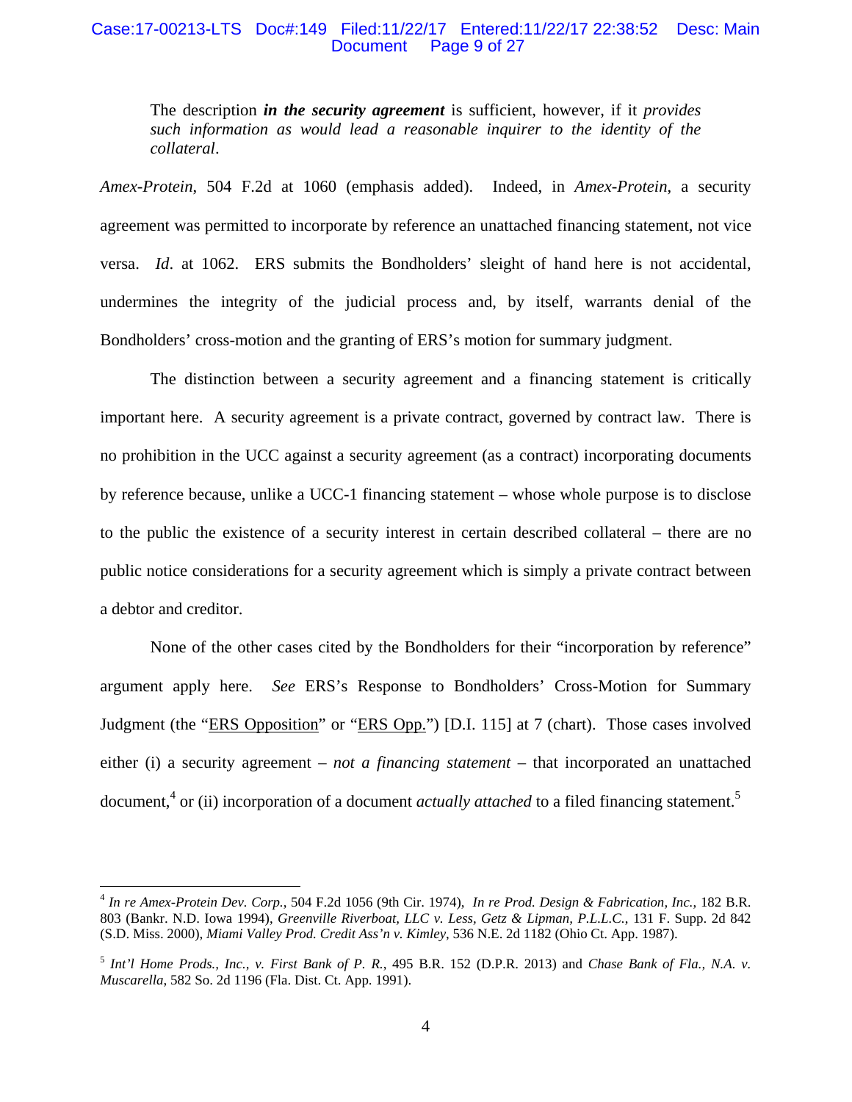#### Case:17-00213-LTS Doc#:149 Filed:11/22/17 Entered:11/22/17 22:38:52 Desc: Main Document Page 9 of 27

The description *in the security agreement* is sufficient, however, if it *provides such information as would lead a reasonable inquirer to the identity of the collateral*.

*Amex-Protein*, 504 F.2d at 1060 (emphasis added). Indeed, in *Amex-Protein*, a security agreement was permitted to incorporate by reference an unattached financing statement, not vice versa. *Id*. at 1062. ERS submits the Bondholders' sleight of hand here is not accidental, undermines the integrity of the judicial process and, by itself, warrants denial of the Bondholders' cross-motion and the granting of ERS's motion for summary judgment.

The distinction between a security agreement and a financing statement is critically important here. A security agreement is a private contract, governed by contract law. There is no prohibition in the UCC against a security agreement (as a contract) incorporating documents by reference because, unlike a UCC-1 financing statement – whose whole purpose is to disclose to the public the existence of a security interest in certain described collateral – there are no public notice considerations for a security agreement which is simply a private contract between a debtor and creditor.

None of the other cases cited by the Bondholders for their "incorporation by reference" argument apply here. *See* ERS's Response to Bondholders' Cross-Motion for Summary Judgment (the "ERS Opposition" or "ERS Opp.") [D.I. 115] at 7 (chart). Those cases involved either (i) a security agreement – *not a financing statement* – that incorporated an unattached document,<sup>4</sup> or (ii) incorporation of a document *actually attached* to a filed financing statement.<sup>5</sup>

<u>.</u>

<sup>4</sup> *In re Amex-Protein Dev. Corp.*, 504 F.2d 1056 (9th Cir. 1974), *In re Prod. Design & Fabrication, Inc.*, 182 B.R. 803 (Bankr. N.D. Iowa 1994), *Greenville Riverboat, LLC v. Less, Getz & Lipman, P.L.L.C.*, 131 F. Supp. 2d 842 (S.D. Miss. 2000), *Miami Valley Prod. Credit Ass'n v. Kimley*, 536 N.E. 2d 1182 (Ohio Ct. App. 1987).

<sup>5</sup> *Int'l Home Prods., Inc., v. First Bank of P. R.*, 495 B.R. 152 (D.P.R. 2013) and *Chase Bank of Fla., N.A. v. Muscarella*, 582 So. 2d 1196 (Fla. Dist. Ct. App. 1991).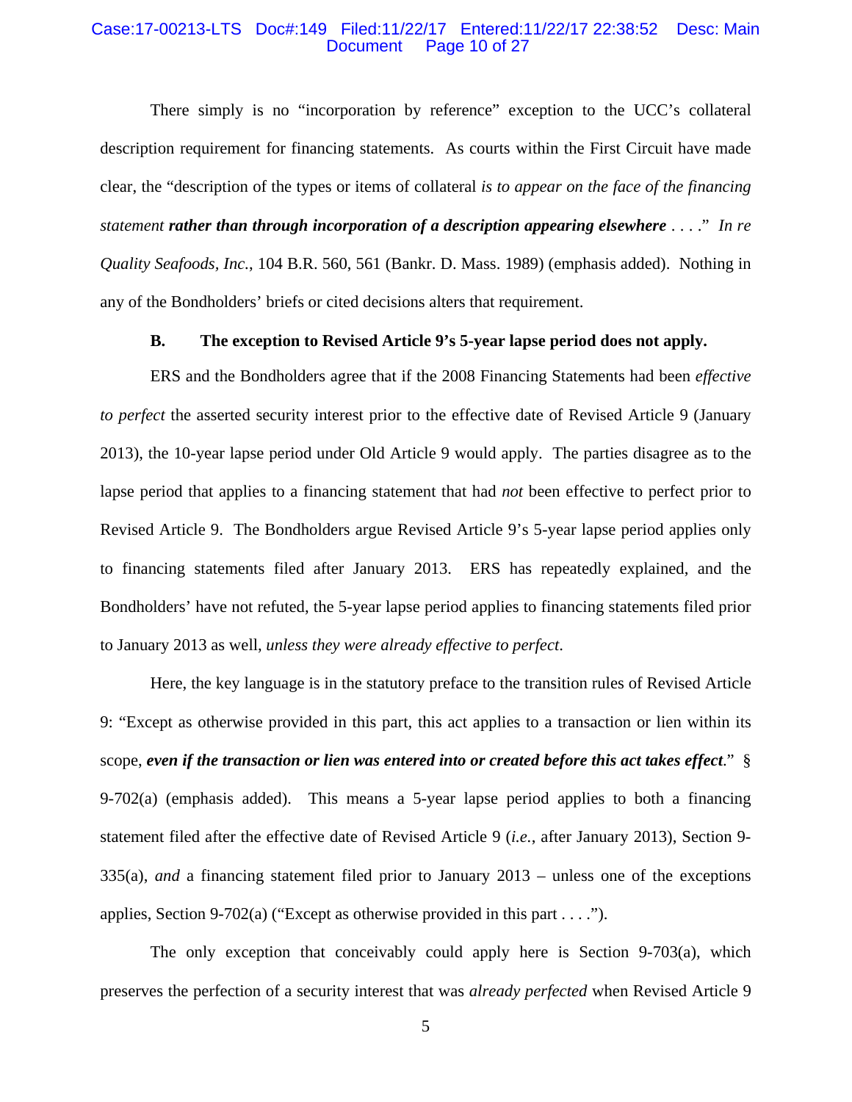#### Case:17-00213-LTS Doc#:149 Filed:11/22/17 Entered:11/22/17 22:38:52 Desc: Main Page 10 of 27

There simply is no "incorporation by reference" exception to the UCC's collateral description requirement for financing statements. As courts within the First Circuit have made clear, the "description of the types or items of collateral *is to appear on the face of the financing statement rather than through incorporation of a description appearing elsewhere* . . . ." *In re Quality Seafoods, Inc.*, 104 B.R. 560, 561 (Bankr. D. Mass. 1989) (emphasis added). Nothing in any of the Bondholders' briefs or cited decisions alters that requirement.

## **B. The exception to Revised Article 9's 5-year lapse period does not apply.**

ERS and the Bondholders agree that if the 2008 Financing Statements had been *effective to perfect* the asserted security interest prior to the effective date of Revised Article 9 (January 2013), the 10-year lapse period under Old Article 9 would apply. The parties disagree as to the lapse period that applies to a financing statement that had *not* been effective to perfect prior to Revised Article 9. The Bondholders argue Revised Article 9's 5-year lapse period applies only to financing statements filed after January 2013. ERS has repeatedly explained, and the Bondholders' have not refuted, the 5-year lapse period applies to financing statements filed prior to January 2013 as well, *unless they were already effective to perfect*.

Here, the key language is in the statutory preface to the transition rules of Revised Article 9: "Except as otherwise provided in this part, this act applies to a transaction or lien within its scope, *even if the transaction or lien was entered into or created before this act takes effect*." § 9-702(a) (emphasis added). This means a 5-year lapse period applies to both a financing statement filed after the effective date of Revised Article 9 (*i.e.*, after January 2013), Section 9- 335(a), *and* a financing statement filed prior to January 2013 – unless one of the exceptions applies, Section 9-702(a) ("Except as otherwise provided in this part . . . .").

The only exception that conceivably could apply here is Section 9-703(a), which preserves the perfection of a security interest that was *already perfected* when Revised Article 9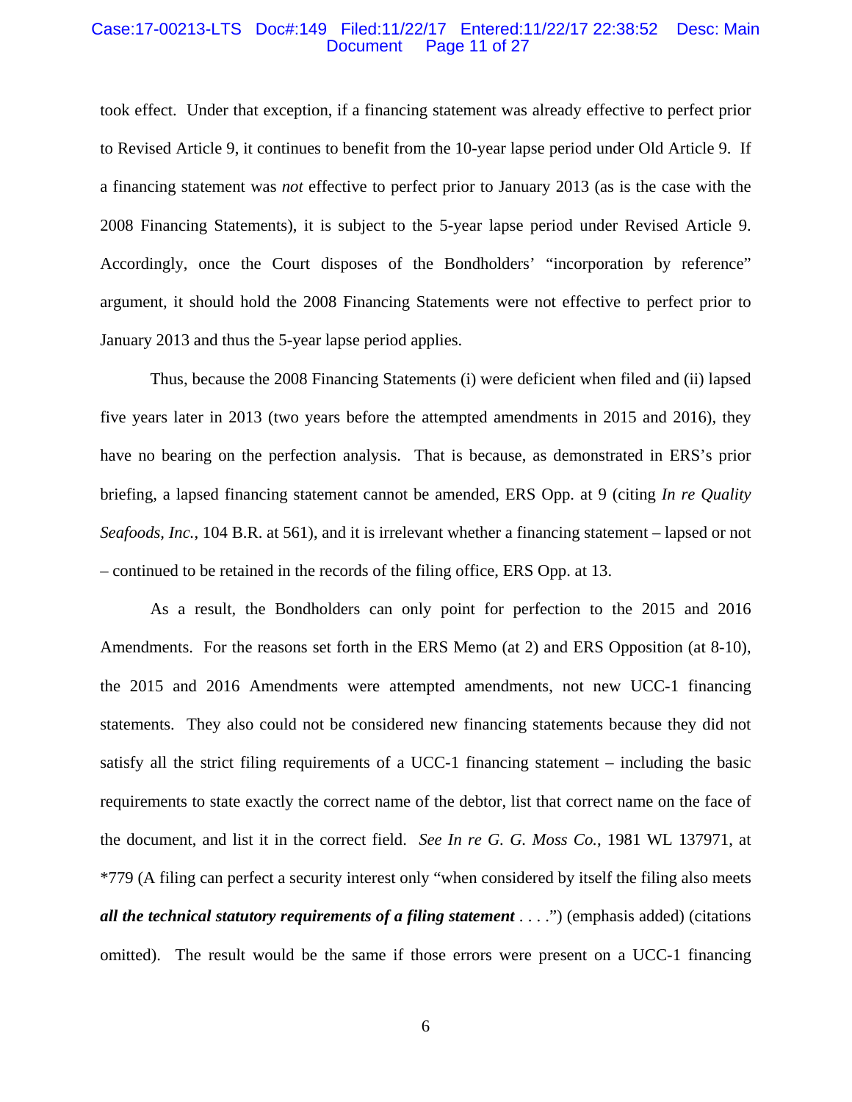#### Case:17-00213-LTS Doc#:149 Filed:11/22/17 Entered:11/22/17 22:38:52 Desc: Main Page 11 of 27

took effect. Under that exception, if a financing statement was already effective to perfect prior to Revised Article 9, it continues to benefit from the 10-year lapse period under Old Article 9. If a financing statement was *not* effective to perfect prior to January 2013 (as is the case with the 2008 Financing Statements), it is subject to the 5-year lapse period under Revised Article 9. Accordingly, once the Court disposes of the Bondholders' "incorporation by reference" argument, it should hold the 2008 Financing Statements were not effective to perfect prior to January 2013 and thus the 5-year lapse period applies.

Thus, because the 2008 Financing Statements (i) were deficient when filed and (ii) lapsed five years later in 2013 (two years before the attempted amendments in 2015 and 2016), they have no bearing on the perfection analysis. That is because, as demonstrated in ERS's prior briefing, a lapsed financing statement cannot be amended, ERS Opp. at 9 (citing *In re Quality Seafoods, Inc.*, 104 B.R. at 561), and it is irrelevant whether a financing statement – lapsed or not – continued to be retained in the records of the filing office, ERS Opp. at 13.

As a result, the Bondholders can only point for perfection to the 2015 and 2016 Amendments. For the reasons set forth in the ERS Memo (at 2) and ERS Opposition (at 8-10), the 2015 and 2016 Amendments were attempted amendments, not new UCC-1 financing statements. They also could not be considered new financing statements because they did not satisfy all the strict filing requirements of a UCC-1 financing statement – including the basic requirements to state exactly the correct name of the debtor, list that correct name on the face of the document, and list it in the correct field. *See In re G. G. Moss Co.*, 1981 WL 137971, at \*779 (A filing can perfect a security interest only "when considered by itself the filing also meets *all the technical statutory requirements of a filing statement* . . . .") (emphasis added) (citations omitted). The result would be the same if those errors were present on a UCC-1 financing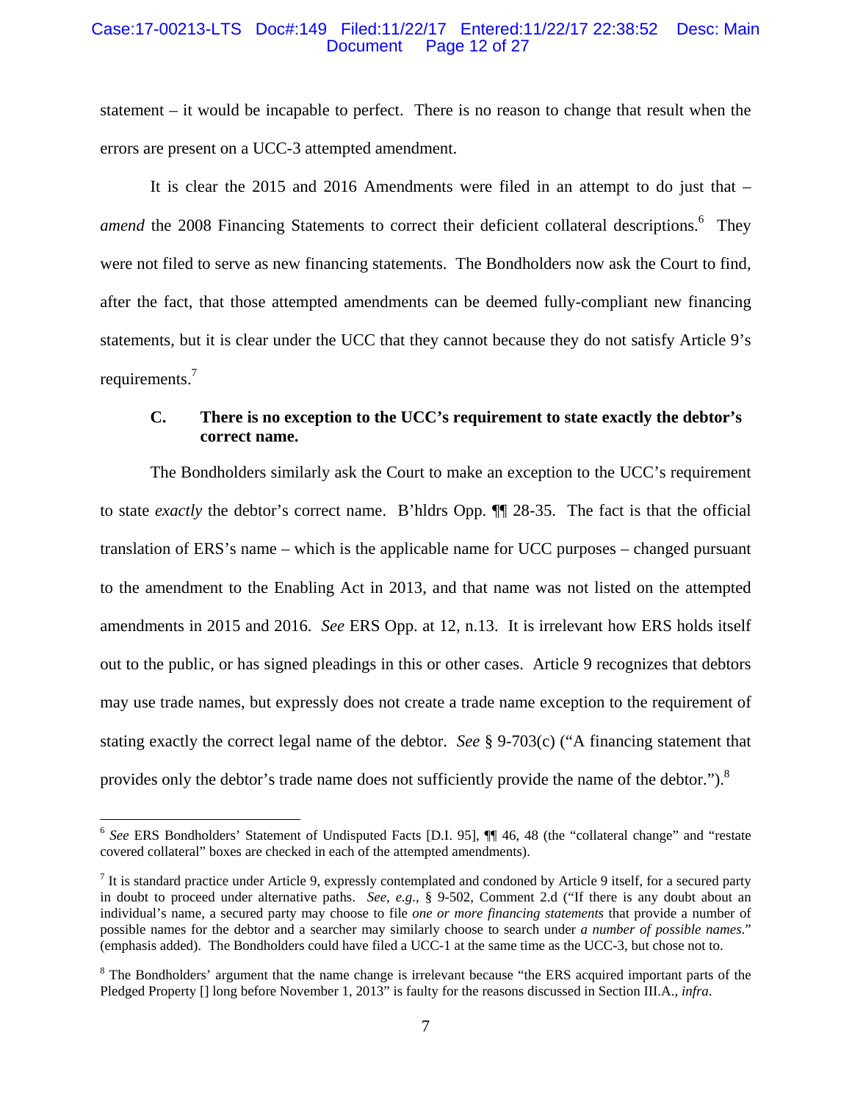#### Case:17-00213-LTS Doc#:149 Filed:11/22/17 Entered:11/22/17 22:38:52 Desc: Main Page 12 of 27

statement – it would be incapable to perfect. There is no reason to change that result when the errors are present on a UCC-3 attempted amendment.

It is clear the 2015 and 2016 Amendments were filed in an attempt to do just that – amend the 2008 Financing Statements to correct their deficient collateral descriptions.<sup>6</sup> They were not filed to serve as new financing statements. The Bondholders now ask the Court to find, after the fact, that those attempted amendments can be deemed fully-compliant new financing statements, but it is clear under the UCC that they cannot because they do not satisfy Article 9's requirements.<sup>7</sup>

# **C. There is no exception to the UCC's requirement to state exactly the debtor's correct name.**

The Bondholders similarly ask the Court to make an exception to the UCC's requirement to state *exactly* the debtor's correct name. B'hldrs Opp. ¶¶ 28-35. The fact is that the official translation of ERS's name – which is the applicable name for UCC purposes – changed pursuant to the amendment to the Enabling Act in 2013, and that name was not listed on the attempted amendments in 2015 and 2016. *See* ERS Opp. at 12, n.13. It is irrelevant how ERS holds itself out to the public, or has signed pleadings in this or other cases. Article 9 recognizes that debtors may use trade names, but expressly does not create a trade name exception to the requirement of stating exactly the correct legal name of the debtor. *See* § 9-703(c) ("A financing statement that provides only the debtor's trade name does not sufficiently provide the name of the debtor.").<sup>8</sup>

 $\overline{a}$ 

<sup>&</sup>lt;sup>6</sup> See ERS Bondholders' Statement of Undisputed Facts [D.I. 95], **[1]** 46, 48 (the "collateral change" and "restate covered collateral" boxes are checked in each of the attempted amendments).

 $<sup>7</sup>$  It is standard practice under Article 9, expressly contemplated and condoned by Article 9 itself, for a secured party</sup> in doubt to proceed under alternative paths. *See, e.g.*, § 9-502, Comment 2.d ("If there is any doubt about an individual's name, a secured party may choose to file *one or more financing statements* that provide a number of possible names for the debtor and a searcher may similarly choose to search under *a number of possible names*." (emphasis added). The Bondholders could have filed a UCC-1 at the same time as the UCC-3, but chose not to.

 $8$  The Bondholders' argument that the name change is irrelevant because "the ERS acquired important parts of the Pledged Property [] long before November 1, 2013" is faulty for the reasons discussed in Section III.A., *infra*.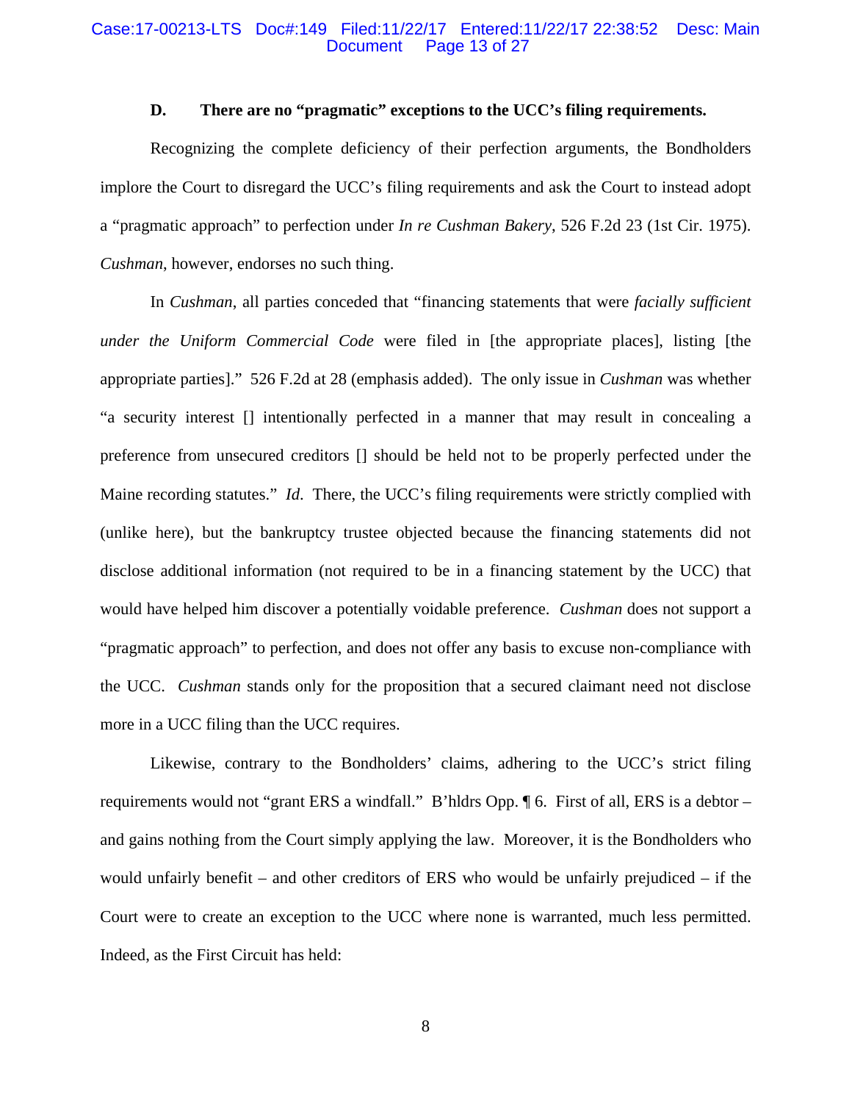#### Case:17-00213-LTS Doc#:149 Filed:11/22/17 Entered:11/22/17 22:38:52 Desc: Main Page 13 of 27

## **D. There are no "pragmatic" exceptions to the UCC's filing requirements.**

Recognizing the complete deficiency of their perfection arguments, the Bondholders implore the Court to disregard the UCC's filing requirements and ask the Court to instead adopt a "pragmatic approach" to perfection under *In re Cushman Bakery*, 526 F.2d 23 (1st Cir. 1975). *Cushman*, however, endorses no such thing.

In *Cushman*, all parties conceded that "financing statements that were *facially sufficient under the Uniform Commercial Code* were filed in [the appropriate places], listing [the appropriate parties]." 526 F.2d at 28 (emphasis added). The only issue in *Cushman* was whether "a security interest [] intentionally perfected in a manner that may result in concealing a preference from unsecured creditors [] should be held not to be properly perfected under the Maine recording statutes." *Id*. There, the UCC's filing requirements were strictly complied with (unlike here), but the bankruptcy trustee objected because the financing statements did not disclose additional information (not required to be in a financing statement by the UCC) that would have helped him discover a potentially voidable preference. *Cushman* does not support a "pragmatic approach" to perfection, and does not offer any basis to excuse non-compliance with the UCC. *Cushman* stands only for the proposition that a secured claimant need not disclose more in a UCC filing than the UCC requires.

Likewise, contrary to the Bondholders' claims, adhering to the UCC's strict filing requirements would not "grant ERS a windfall." B'hldrs Opp. ¶ 6. First of all, ERS is a debtor – and gains nothing from the Court simply applying the law. Moreover, it is the Bondholders who would unfairly benefit – and other creditors of ERS who would be unfairly prejudiced – if the Court were to create an exception to the UCC where none is warranted, much less permitted. Indeed, as the First Circuit has held: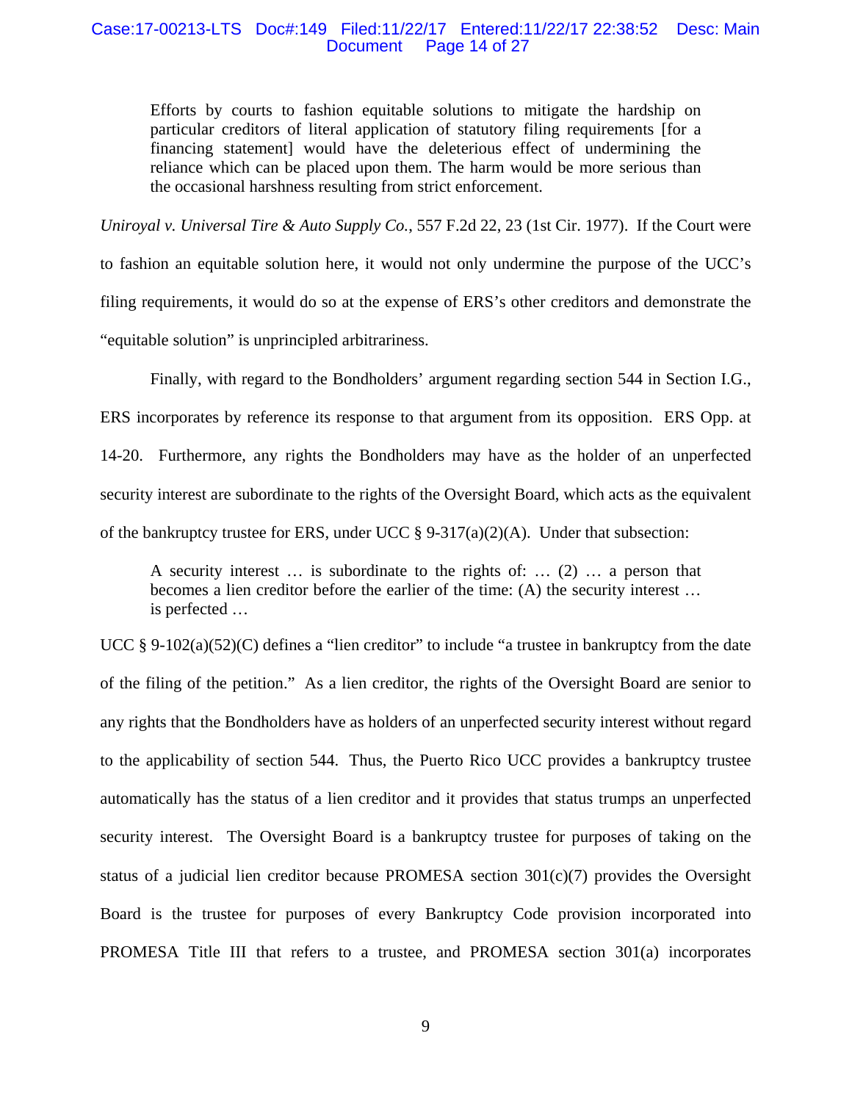#### Case:17-00213-LTS Doc#:149 Filed:11/22/17 Entered:11/22/17 22:38:52 Desc: Main Document Page 14 of 27

Efforts by courts to fashion equitable solutions to mitigate the hardship on particular creditors of literal application of statutory filing requirements [for a financing statement] would have the deleterious effect of undermining the reliance which can be placed upon them. The harm would be more serious than the occasional harshness resulting from strict enforcement.

*Uniroyal v. Universal Tire & Auto Supply Co.*, 557 F.2d 22, 23 (1st Cir. 1977). If the Court were to fashion an equitable solution here, it would not only undermine the purpose of the UCC's filing requirements, it would do so at the expense of ERS's other creditors and demonstrate the "equitable solution" is unprincipled arbitrariness.

Finally, with regard to the Bondholders' argument regarding section 544 in Section I.G., ERS incorporates by reference its response to that argument from its opposition. ERS Opp. at 14-20. Furthermore, any rights the Bondholders may have as the holder of an unperfected security interest are subordinate to the rights of the Oversight Board, which acts as the equivalent of the bankruptcy trustee for ERS, under UCC  $\S 9-317(a)(2)(A)$ . Under that subsection:

A security interest … is subordinate to the rights of: … (2) … a person that becomes a lien creditor before the earlier of the time: (A) the security interest … is perfected …

UCC § 9-102(a)(52)(C) defines a "lien creditor" to include "a trustee in bankruptcy from the date of the filing of the petition." As a lien creditor, the rights of the Oversight Board are senior to any rights that the Bondholders have as holders of an unperfected security interest without regard to the applicability of section 544. Thus, the Puerto Rico UCC provides a bankruptcy trustee automatically has the status of a lien creditor and it provides that status trumps an unperfected security interest. The Oversight Board is a bankruptcy trustee for purposes of taking on the status of a judicial lien creditor because PROMESA section 301(c)(7) provides the Oversight Board is the trustee for purposes of every Bankruptcy Code provision incorporated into PROMESA Title III that refers to a trustee, and PROMESA section 301(a) incorporates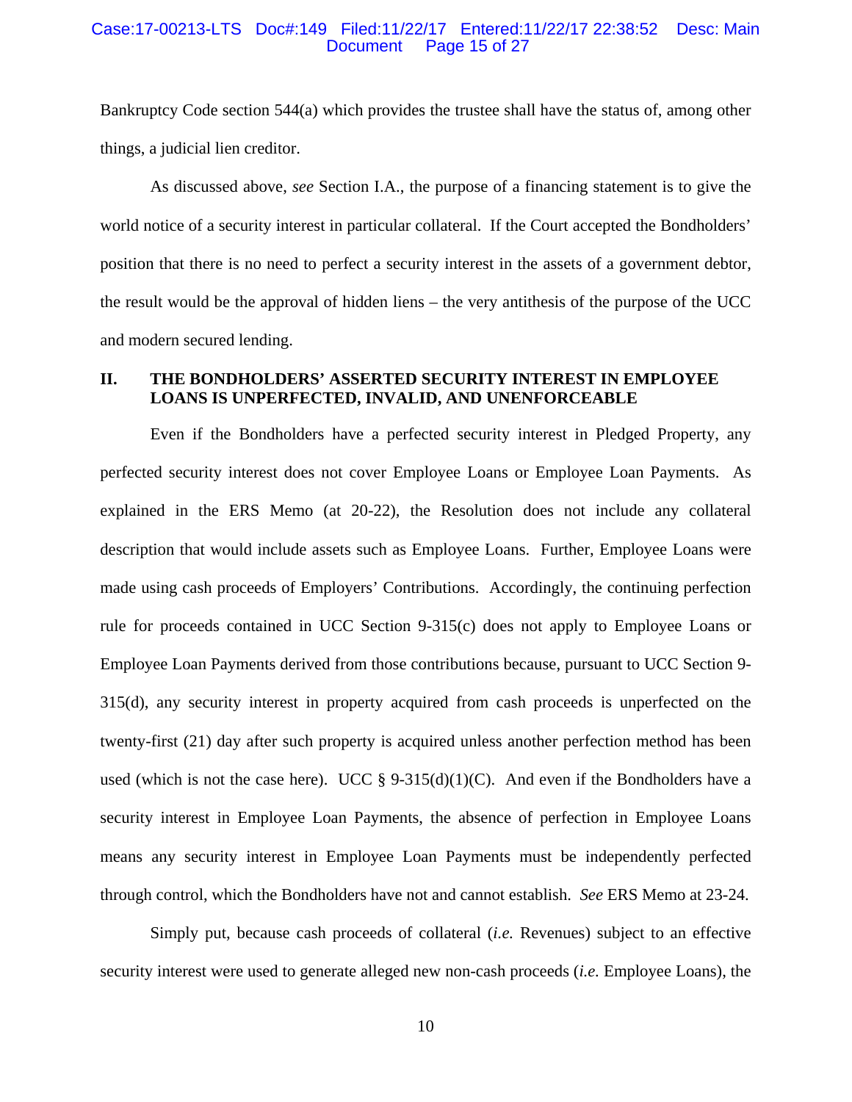#### Case:17-00213-LTS Doc#:149 Filed:11/22/17 Entered:11/22/17 22:38:52 Desc: Main Page 15 of 27

Bankruptcy Code section 544(a) which provides the trustee shall have the status of, among other things, a judicial lien creditor.

 As discussed above, *see* Section I.A., the purpose of a financing statement is to give the world notice of a security interest in particular collateral. If the Court accepted the Bondholders' position that there is no need to perfect a security interest in the assets of a government debtor, the result would be the approval of hidden liens – the very antithesis of the purpose of the UCC and modern secured lending.

# **II. THE BONDHOLDERS' ASSERTED SECURITY INTEREST IN EMPLOYEE LOANS IS UNPERFECTED, INVALID, AND UNENFORCEABLE**

Even if the Bondholders have a perfected security interest in Pledged Property, any perfected security interest does not cover Employee Loans or Employee Loan Payments. As explained in the ERS Memo (at 20-22), the Resolution does not include any collateral description that would include assets such as Employee Loans. Further, Employee Loans were made using cash proceeds of Employers' Contributions. Accordingly, the continuing perfection rule for proceeds contained in UCC Section 9-315(c) does not apply to Employee Loans or Employee Loan Payments derived from those contributions because, pursuant to UCC Section 9- 315(d), any security interest in property acquired from cash proceeds is unperfected on the twenty-first (21) day after such property is acquired unless another perfection method has been used (which is not the case here). UCC §  $9-315(d)(1)(C)$ . And even if the Bondholders have a security interest in Employee Loan Payments, the absence of perfection in Employee Loans means any security interest in Employee Loan Payments must be independently perfected through control, which the Bondholders have not and cannot establish. *See* ERS Memo at 23-24.

Simply put, because cash proceeds of collateral (*i.e.* Revenues) subject to an effective security interest were used to generate alleged new non-cash proceeds (*i.e.* Employee Loans), the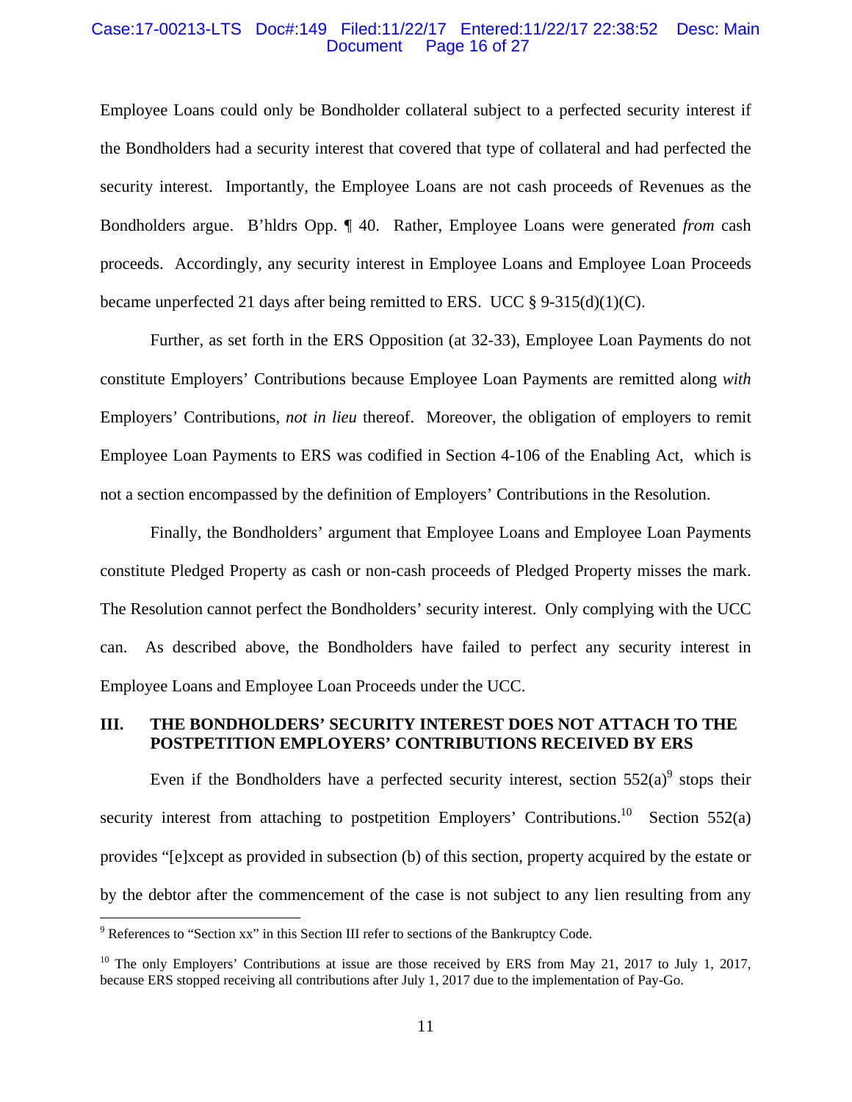#### Case:17-00213-LTS Doc#:149 Filed:11/22/17 Entered:11/22/17 22:38:52 Desc: Main Page 16 of 27

Employee Loans could only be Bondholder collateral subject to a perfected security interest if the Bondholders had a security interest that covered that type of collateral and had perfected the security interest. Importantly, the Employee Loans are not cash proceeds of Revenues as the Bondholders argue. B'hldrs Opp. ¶ 40. Rather, Employee Loans were generated *from* cash proceeds. Accordingly, any security interest in Employee Loans and Employee Loan Proceeds became unperfected 21 days after being remitted to ERS. UCC  $\S$  9-315(d)(1)(C).

Further, as set forth in the ERS Opposition (at 32-33), Employee Loan Payments do not constitute Employers' Contributions because Employee Loan Payments are remitted along *with* Employers' Contributions, *not in lieu* thereof. Moreover, the obligation of employers to remit Employee Loan Payments to ERS was codified in Section 4-106 of the Enabling Act, which is not a section encompassed by the definition of Employers' Contributions in the Resolution.

Finally, the Bondholders' argument that Employee Loans and Employee Loan Payments constitute Pledged Property as cash or non-cash proceeds of Pledged Property misses the mark. The Resolution cannot perfect the Bondholders' security interest. Only complying with the UCC can. As described above, the Bondholders have failed to perfect any security interest in Employee Loans and Employee Loan Proceeds under the UCC.

### **III. THE BONDHOLDERS' SECURITY INTEREST DOES NOT ATTACH TO THE POSTPETITION EMPLOYERS' CONTRIBUTIONS RECEIVED BY ERS**

Even if the Bondholders have a perfected security interest, section  $552(a)^9$  stops their security interest from attaching to postpetition Employers' Contributions.<sup>10</sup> Section 552(a) provides "[e]xcept as provided in subsection (b) of this section, property acquired by the estate or by the debtor after the commencement of the case is not subject to any lien resulting from any

 $\overline{a}$ 

<sup>&</sup>lt;sup>9</sup> References to "Section xx" in this Section III refer to sections of the Bankruptcy Code.

 $10$  The only Employers' Contributions at issue are those received by ERS from May 21, 2017 to July 1, 2017, because ERS stopped receiving all contributions after July 1, 2017 due to the implementation of Pay-Go.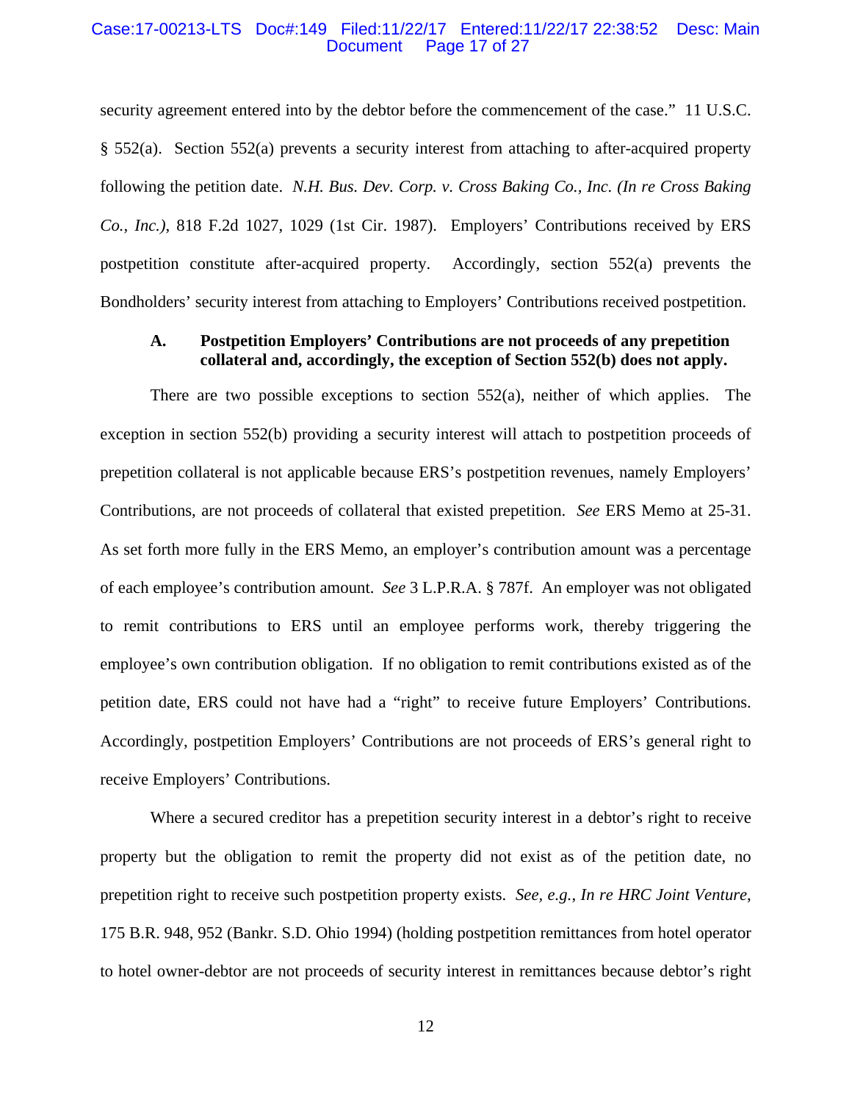#### Case:17-00213-LTS Doc#:149 Filed:11/22/17 Entered:11/22/17 22:38:52 Desc: Main Page 17 of 27

security agreement entered into by the debtor before the commencement of the case." 11 U.S.C. § 552(a). Section 552(a) prevents a security interest from attaching to after-acquired property following the petition date. *N.H. Bus. Dev. Corp. v. Cross Baking Co., Inc. (In re Cross Baking Co., Inc.)*, 818 F.2d 1027, 1029 (1st Cir. 1987). Employers' Contributions received by ERS postpetition constitute after-acquired property. Accordingly, section 552(a) prevents the Bondholders' security interest from attaching to Employers' Contributions received postpetition.

## **A. Postpetition Employers' Contributions are not proceeds of any prepetition collateral and, accordingly, the exception of Section 552(b) does not apply.**

There are two possible exceptions to section  $552(a)$ , neither of which applies. The exception in section 552(b) providing a security interest will attach to postpetition proceeds of prepetition collateral is not applicable because ERS's postpetition revenues, namely Employers' Contributions, are not proceeds of collateral that existed prepetition. *See* ERS Memo at 25-31. As set forth more fully in the ERS Memo, an employer's contribution amount was a percentage of each employee's contribution amount. *See* 3 L.P.R.A. § 787f. An employer was not obligated to remit contributions to ERS until an employee performs work, thereby triggering the employee's own contribution obligation. If no obligation to remit contributions existed as of the petition date, ERS could not have had a "right" to receive future Employers' Contributions. Accordingly, postpetition Employers' Contributions are not proceeds of ERS's general right to receive Employers' Contributions.

Where a secured creditor has a prepetition security interest in a debtor's right to receive property but the obligation to remit the property did not exist as of the petition date, no prepetition right to receive such postpetition property exists. *See, e.g.*, *In re HRC Joint Venture*, 175 B.R. 948, 952 (Bankr. S.D. Ohio 1994) (holding postpetition remittances from hotel operator to hotel owner-debtor are not proceeds of security interest in remittances because debtor's right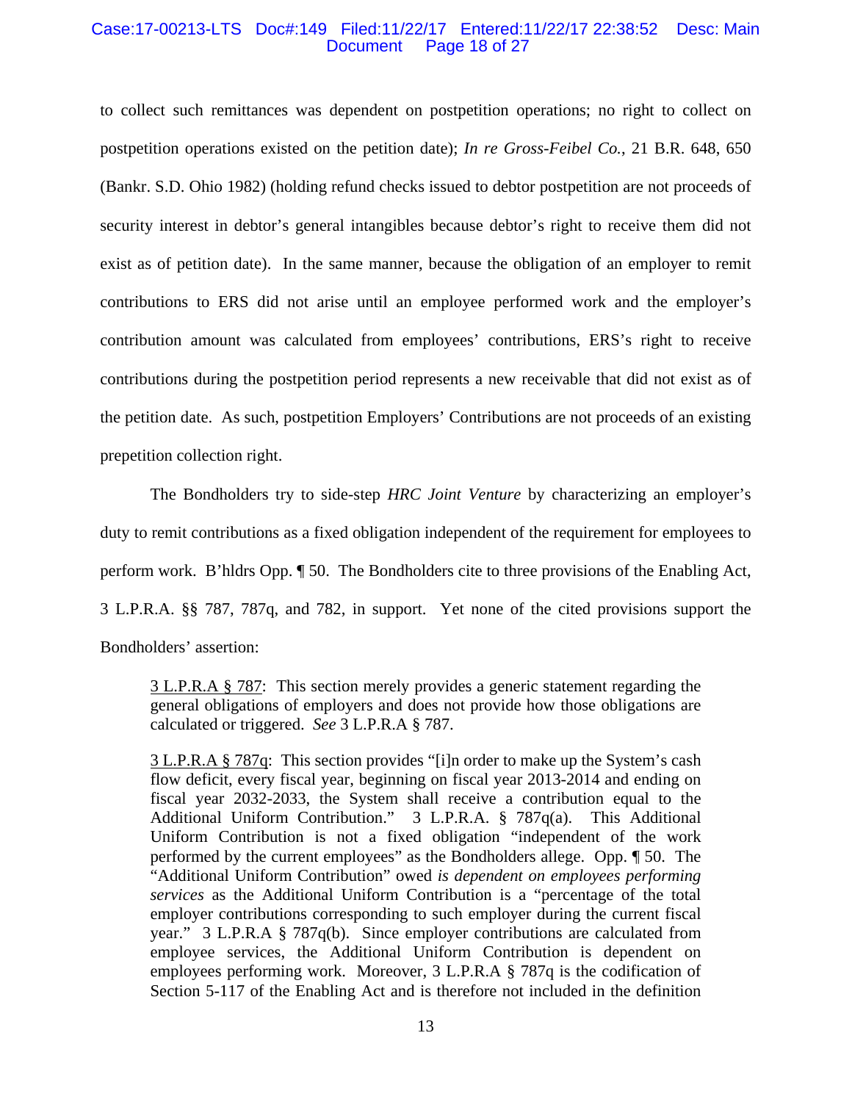#### Case:17-00213-LTS Doc#:149 Filed:11/22/17 Entered:11/22/17 22:38:52 Desc: Main Page 18 of 27

to collect such remittances was dependent on postpetition operations; no right to collect on postpetition operations existed on the petition date); *In re Gross-Feibel Co.*, 21 B.R. 648, 650 (Bankr. S.D. Ohio 1982) (holding refund checks issued to debtor postpetition are not proceeds of security interest in debtor's general intangibles because debtor's right to receive them did not exist as of petition date). In the same manner, because the obligation of an employer to remit contributions to ERS did not arise until an employee performed work and the employer's contribution amount was calculated from employees' contributions, ERS's right to receive contributions during the postpetition period represents a new receivable that did not exist as of the petition date. As such, postpetition Employers' Contributions are not proceeds of an existing prepetition collection right.

 The Bondholders try to side-step *HRC Joint Venture* by characterizing an employer's duty to remit contributions as a fixed obligation independent of the requirement for employees to perform work. B'hldrs Opp. ¶ 50. The Bondholders cite to three provisions of the Enabling Act, 3 L.P.R.A. §§ 787, 787q, and 782, in support. Yet none of the cited provisions support the Bondholders' assertion:

3 L.P.R.A § 787: This section merely provides a generic statement regarding the general obligations of employers and does not provide how those obligations are calculated or triggered. *See* 3 L.P.R.A § 787.

3 L.P.R.A § 787q: This section provides "[i]n order to make up the System's cash flow deficit, every fiscal year, beginning on fiscal year 2013-2014 and ending on fiscal year 2032-2033, the System shall receive a contribution equal to the Additional Uniform Contribution." 3 L.P.R.A. § 787q(a). This Additional Uniform Contribution is not a fixed obligation "independent of the work performed by the current employees" as the Bondholders allege. Opp. ¶ 50. The "Additional Uniform Contribution" owed *is dependent on employees performing services* as the Additional Uniform Contribution is a "percentage of the total employer contributions corresponding to such employer during the current fiscal year." 3 L.P.R.A § 787q(b). Since employer contributions are calculated from employee services, the Additional Uniform Contribution is dependent on employees performing work. Moreover, 3 L.P.R.A § 787q is the codification of Section 5-117 of the Enabling Act and is therefore not included in the definition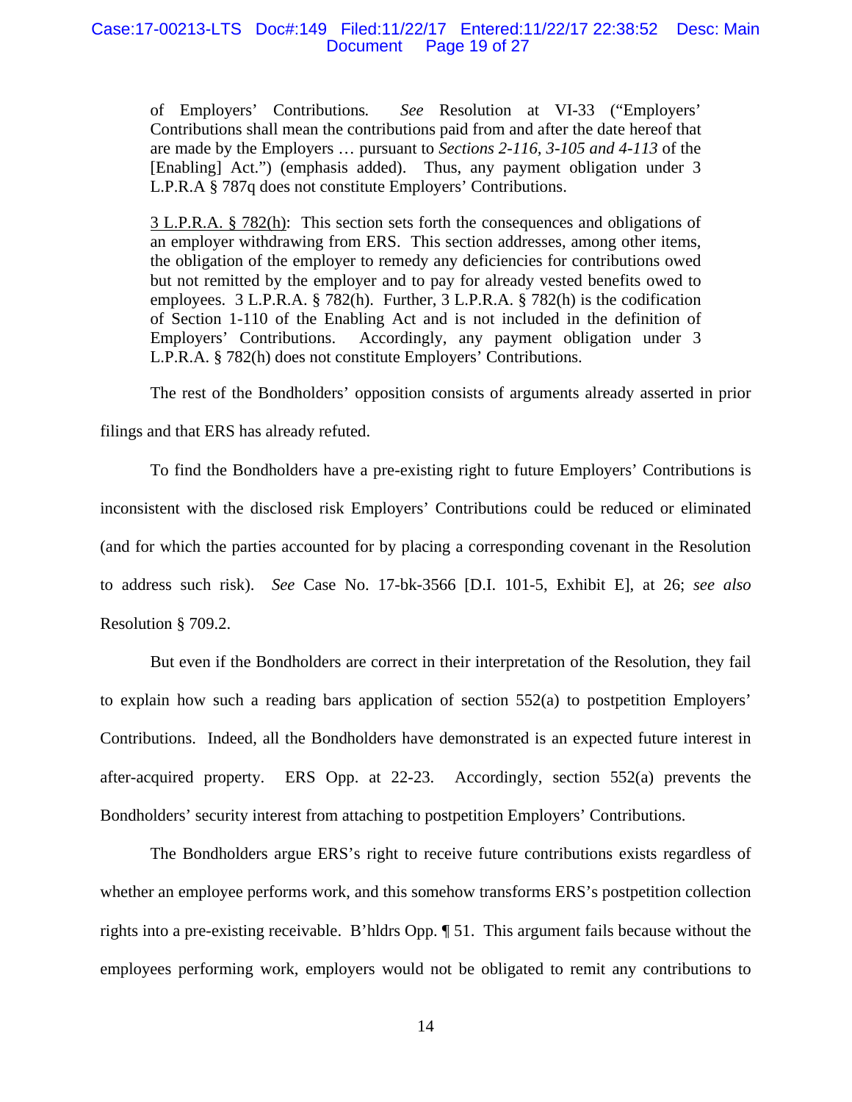#### Case:17-00213-LTS Doc#:149 Filed:11/22/17 Entered:11/22/17 22:38:52 Desc: Main Page 19 of 27

of Employers' Contributions*. See* Resolution at VI-33 ("Employers' Contributions shall mean the contributions paid from and after the date hereof that are made by the Employers … pursuant to *Sections 2-116, 3-105 and 4-113* of the [Enabling] Act.") (emphasis added). Thus, any payment obligation under 3 L.P.R.A § 787q does not constitute Employers' Contributions.

3 L.P.R.A. § 782(h): This section sets forth the consequences and obligations of an employer withdrawing from ERS. This section addresses, among other items, the obligation of the employer to remedy any deficiencies for contributions owed but not remitted by the employer and to pay for already vested benefits owed to employees. 3 L.P.R.A. § 782(h). Further, 3 L.P.R.A. § 782(h) is the codification of Section 1-110 of the Enabling Act and is not included in the definition of Employers' Contributions. Accordingly, any payment obligation under 3 L.P.R.A. § 782(h) does not constitute Employers' Contributions.

The rest of the Bondholders' opposition consists of arguments already asserted in prior

filings and that ERS has already refuted.

 To find the Bondholders have a pre-existing right to future Employers' Contributions is inconsistent with the disclosed risk Employers' Contributions could be reduced or eliminated (and for which the parties accounted for by placing a corresponding covenant in the Resolution to address such risk). *See* Case No. 17-bk-3566 [D.I. 101-5, Exhibit E], at 26; *see also* Resolution § 709.2.

But even if the Bondholders are correct in their interpretation of the Resolution, they fail to explain how such a reading bars application of section 552(a) to postpetition Employers' Contributions. Indeed, all the Bondholders have demonstrated is an expected future interest in after-acquired property. ERS Opp. at 22-23. Accordingly, section 552(a) prevents the Bondholders' security interest from attaching to postpetition Employers' Contributions.

 The Bondholders argue ERS's right to receive future contributions exists regardless of whether an employee performs work, and this somehow transforms ERS's postpetition collection rights into a pre-existing receivable. B'hldrs Opp. ¶ 51. This argument fails because without the employees performing work, employers would not be obligated to remit any contributions to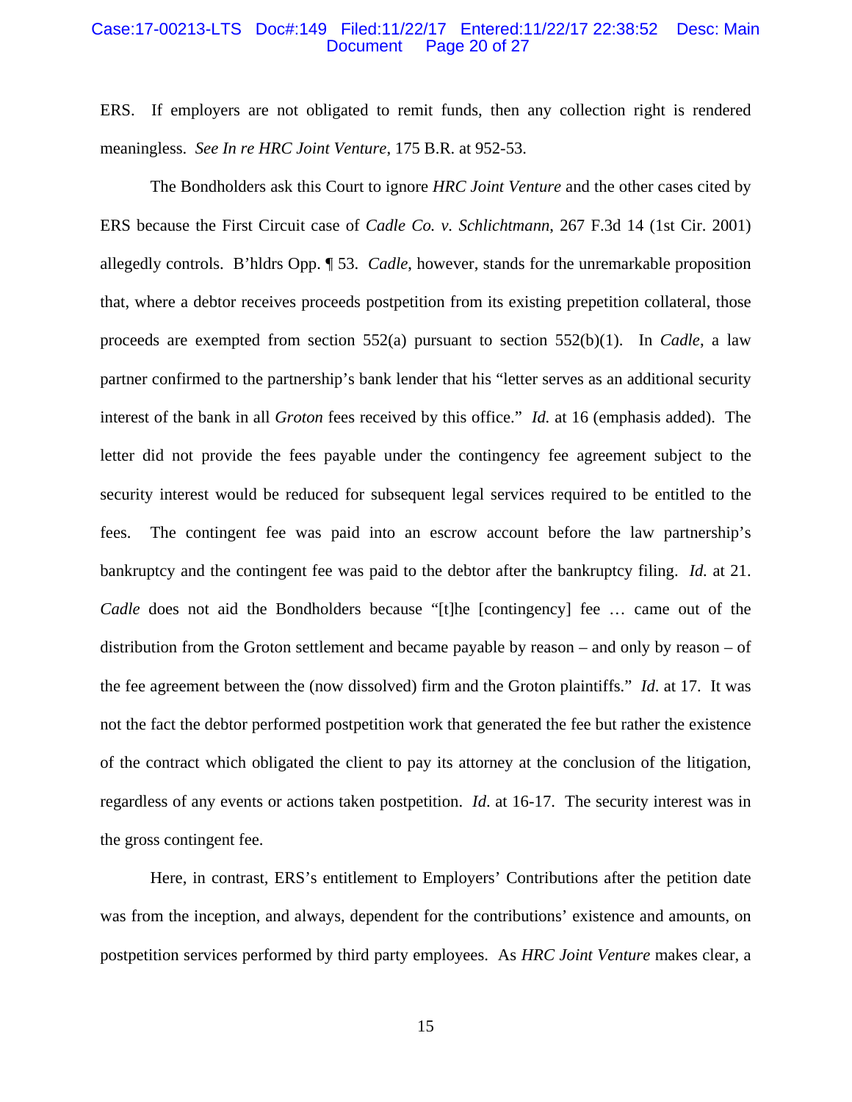#### Case:17-00213-LTS Doc#:149 Filed:11/22/17 Entered:11/22/17 22:38:52 Desc: Main Page 20 of 27

ERS. If employers are not obligated to remit funds, then any collection right is rendered meaningless. *See In re HRC Joint Venture*, 175 B.R. at 952-53.

 The Bondholders ask this Court to ignore *HRC Joint Venture* and the other cases cited by ERS because the First Circuit case of *Cadle Co. v. Schlichtmann*, 267 F.3d 14 (1st Cir. 2001) allegedly controls. B'hldrs Opp. ¶ 53. *Cadle*, however, stands for the unremarkable proposition that, where a debtor receives proceeds postpetition from its existing prepetition collateral, those proceeds are exempted from section 552(a) pursuant to section 552(b)(1). In *Cadle*, a law partner confirmed to the partnership's bank lender that his "letter serves as an additional security interest of the bank in all *Groton* fees received by this office." *Id.* at 16 (emphasis added). The letter did not provide the fees payable under the contingency fee agreement subject to the security interest would be reduced for subsequent legal services required to be entitled to the fees. The contingent fee was paid into an escrow account before the law partnership's bankruptcy and the contingent fee was paid to the debtor after the bankruptcy filing. *Id.* at 21. *Cadle* does not aid the Bondholders because "[t]he [contingency] fee ... came out of the distribution from the Groton settlement and became payable by reason – and only by reason – of the fee agreement between the (now dissolved) firm and the Groton plaintiffs." *Id*. at 17. It was not the fact the debtor performed postpetition work that generated the fee but rather the existence of the contract which obligated the client to pay its attorney at the conclusion of the litigation, regardless of any events or actions taken postpetition. *Id*. at 16-17. The security interest was in the gross contingent fee.

Here, in contrast, ERS's entitlement to Employers' Contributions after the petition date was from the inception, and always, dependent for the contributions' existence and amounts, on postpetition services performed by third party employees. As *HRC Joint Venture* makes clear, a

15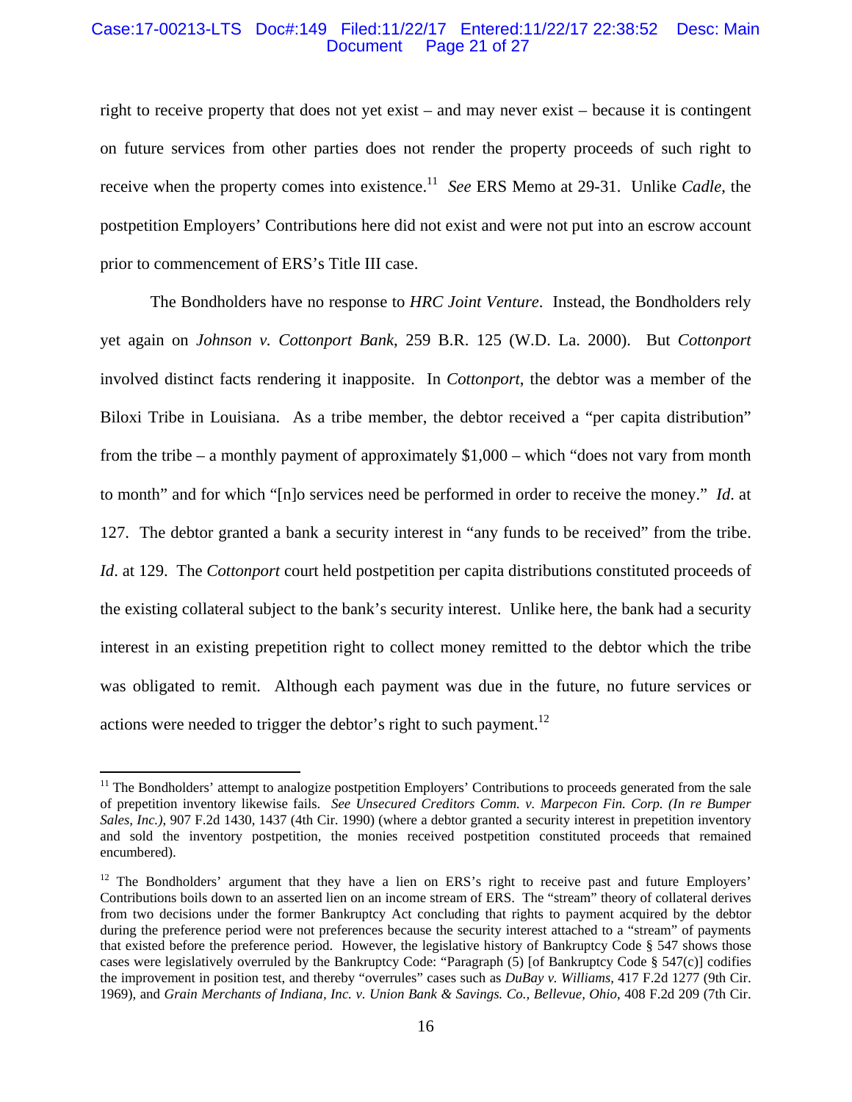#### Case:17-00213-LTS Doc#:149 Filed:11/22/17 Entered:11/22/17 22:38:52 Desc: Main Page 21 of 27

right to receive property that does not yet exist – and may never exist – because it is contingent on future services from other parties does not render the property proceeds of such right to receive when the property comes into existence.11 *See* ERS Memo at 29-31. Unlike *Cadle*, the postpetition Employers' Contributions here did not exist and were not put into an escrow account prior to commencement of ERS's Title III case.

 The Bondholders have no response to *HRC Joint Venture*. Instead, the Bondholders rely yet again on *Johnson v. Cottonport Bank*, 259 B.R. 125 (W.D. La. 2000). But *Cottonport* involved distinct facts rendering it inapposite. In *Cottonport*, the debtor was a member of the Biloxi Tribe in Louisiana. As a tribe member, the debtor received a "per capita distribution" from the tribe – a monthly payment of approximately \$1,000 – which "does not vary from month to month" and for which "[n]o services need be performed in order to receive the money." *Id*. at 127. The debtor granted a bank a security interest in "any funds to be received" from the tribe. *Id*. at 129. The *Cottonport* court held postpetition per capita distributions constituted proceeds of the existing collateral subject to the bank's security interest. Unlike here, the bank had a security interest in an existing prepetition right to collect money remitted to the debtor which the tribe was obligated to remit. Although each payment was due in the future, no future services or actions were needed to trigger the debtor's right to such payment.<sup>12</sup>

 $\overline{a}$ 

 $11$  The Bondholders' attempt to analogize postpetition Employers' Contributions to proceeds generated from the sale of prepetition inventory likewise fails. *See Unsecured Creditors Comm. v. Marpecon Fin. Corp. (In re Bumper Sales, Inc.)*, 907 F.2d 1430, 1437 (4th Cir. 1990) (where a debtor granted a security interest in prepetition inventory and sold the inventory postpetition, the monies received postpetition constituted proceeds that remained encumbered).

<sup>&</sup>lt;sup>12</sup> The Bondholders' argument that they have a lien on ERS's right to receive past and future Employers' Contributions boils down to an asserted lien on an income stream of ERS. The "stream" theory of collateral derives from two decisions under the former Bankruptcy Act concluding that rights to payment acquired by the debtor during the preference period were not preferences because the security interest attached to a "stream" of payments that existed before the preference period. However, the legislative history of Bankruptcy Code § 547 shows those cases were legislatively overruled by the Bankruptcy Code: "Paragraph (5) [of Bankruptcy Code § 547(c)] codifies the improvement in position test, and thereby "overrules" cases such as *DuBay v. Williams*, 417 F.2d 1277 (9th Cir. 1969), and *Grain Merchants of Indiana, Inc. v. Union Bank & Savings. Co., Bellevue, Ohio*, 408 F.2d 209 (7th Cir.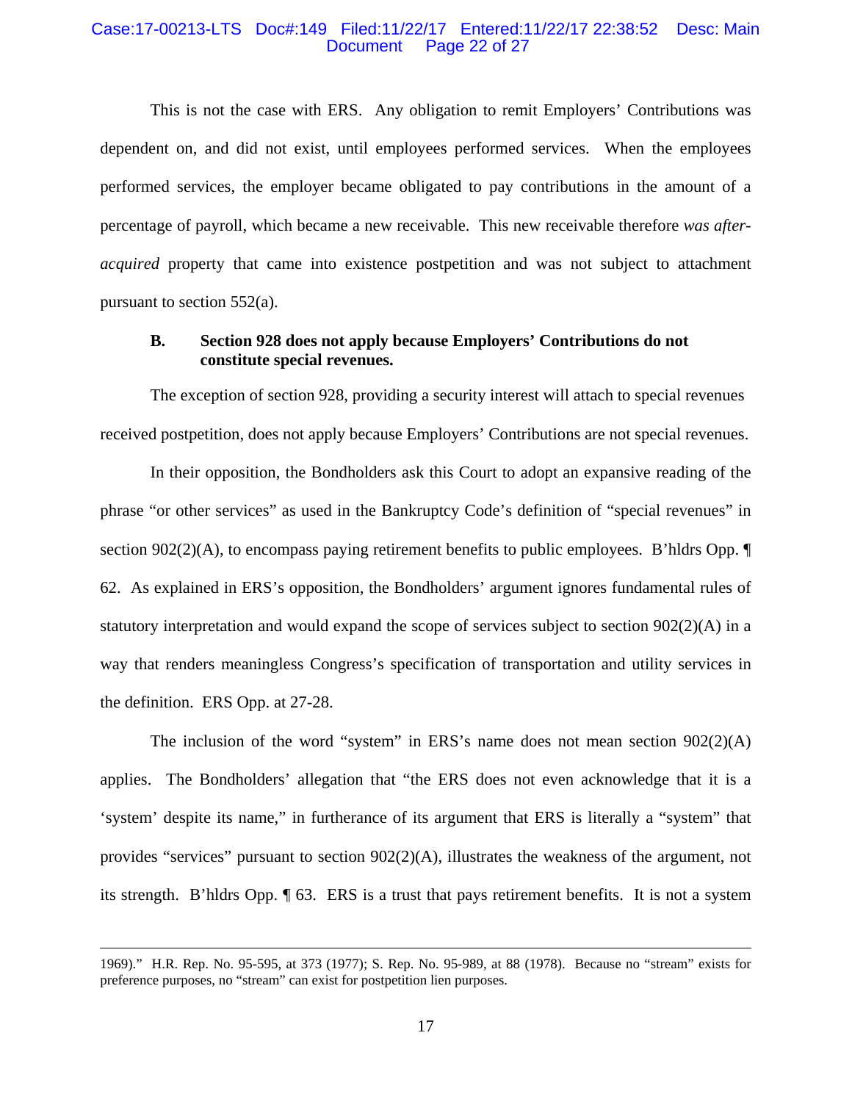#### Case:17-00213-LTS Doc#:149 Filed:11/22/17 Entered:11/22/17 22:38:52 Desc: Main Page 22 of 27

This is not the case with ERS. Any obligation to remit Employers' Contributions was dependent on, and did not exist, until employees performed services. When the employees performed services, the employer became obligated to pay contributions in the amount of a percentage of payroll, which became a new receivable. This new receivable therefore *was afteracquired* property that came into existence postpetition and was not subject to attachment pursuant to section 552(a).

## **B. Section 928 does not apply because Employers' Contributions do not constitute special revenues.**

The exception of section 928, providing a security interest will attach to special revenues received postpetition, does not apply because Employers' Contributions are not special revenues.

 In their opposition, the Bondholders ask this Court to adopt an expansive reading of the phrase "or other services" as used in the Bankruptcy Code's definition of "special revenues" in section  $902(2)(A)$ , to encompass paying retirement benefits to public employees. B'hldrs Opp.  $\P$ 62. As explained in ERS's opposition, the Bondholders' argument ignores fundamental rules of statutory interpretation and would expand the scope of services subject to section  $902(2)(A)$  in a way that renders meaningless Congress's specification of transportation and utility services in the definition. ERS Opp. at 27-28.

The inclusion of the word "system" in ERS's name does not mean section  $902(2)(A)$ applies. The Bondholders' allegation that "the ERS does not even acknowledge that it is a 'system' despite its name," in furtherance of its argument that ERS is literally a "system" that provides "services" pursuant to section 902(2)(A), illustrates the weakness of the argument, not its strength. B'hldrs Opp. ¶ 63. ERS is a trust that pays retirement benefits. It is not a system

 <sup>1969).&</sup>quot; H.R. Rep. No. 95-595, at 373 (1977); S. Rep. No. 95-989, at 88 (1978). Because no "stream" exists for preference purposes, no "stream" can exist for postpetition lien purposes.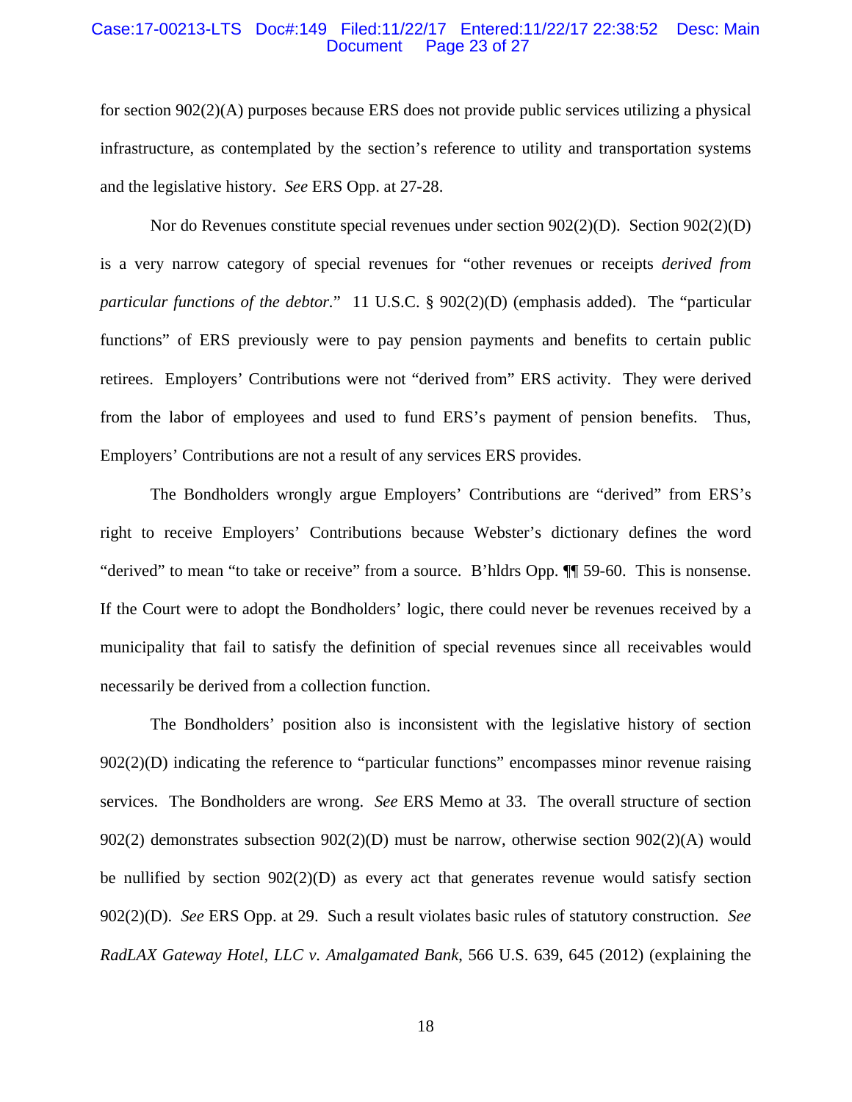#### Case:17-00213-LTS Doc#:149 Filed:11/22/17 Entered:11/22/17 22:38:52 Desc: Main Page 23 of 27

for section 902(2)(A) purposes because ERS does not provide public services utilizing a physical infrastructure, as contemplated by the section's reference to utility and transportation systems and the legislative history. *See* ERS Opp. at 27-28.

Nor do Revenues constitute special revenues under section 902(2)(D). Section 902(2)(D) is a very narrow category of special revenues for "other revenues or receipts *derived from particular functions of the debtor.*" 11 U.S.C. § 902(2)(D) (emphasis added). The "particular functions" of ERS previously were to pay pension payments and benefits to certain public retirees. Employers' Contributions were not "derived from" ERS activity. They were derived from the labor of employees and used to fund ERS's payment of pension benefits. Thus, Employers' Contributions are not a result of any services ERS provides.

The Bondholders wrongly argue Employers' Contributions are "derived" from ERS's right to receive Employers' Contributions because Webster's dictionary defines the word "derived" to mean "to take or receive" from a source. B'hldrs Opp. ¶¶ 59-60. This is nonsense. If the Court were to adopt the Bondholders' logic, there could never be revenues received by a municipality that fail to satisfy the definition of special revenues since all receivables would necessarily be derived from a collection function.

The Bondholders' position also is inconsistent with the legislative history of section 902(2)(D) indicating the reference to "particular functions" encompasses minor revenue raising services. The Bondholders are wrong. *See* ERS Memo at 33. The overall structure of section 902(2) demonstrates subsection 902(2)(D) must be narrow, otherwise section 902(2)(A) would be nullified by section  $902(2)(D)$  as every act that generates revenue would satisfy section 902(2)(D). *See* ERS Opp. at 29. Such a result violates basic rules of statutory construction. *See RadLAX Gateway Hotel, LLC v. Amalgamated Bank*, 566 U.S. 639, 645 (2012) (explaining the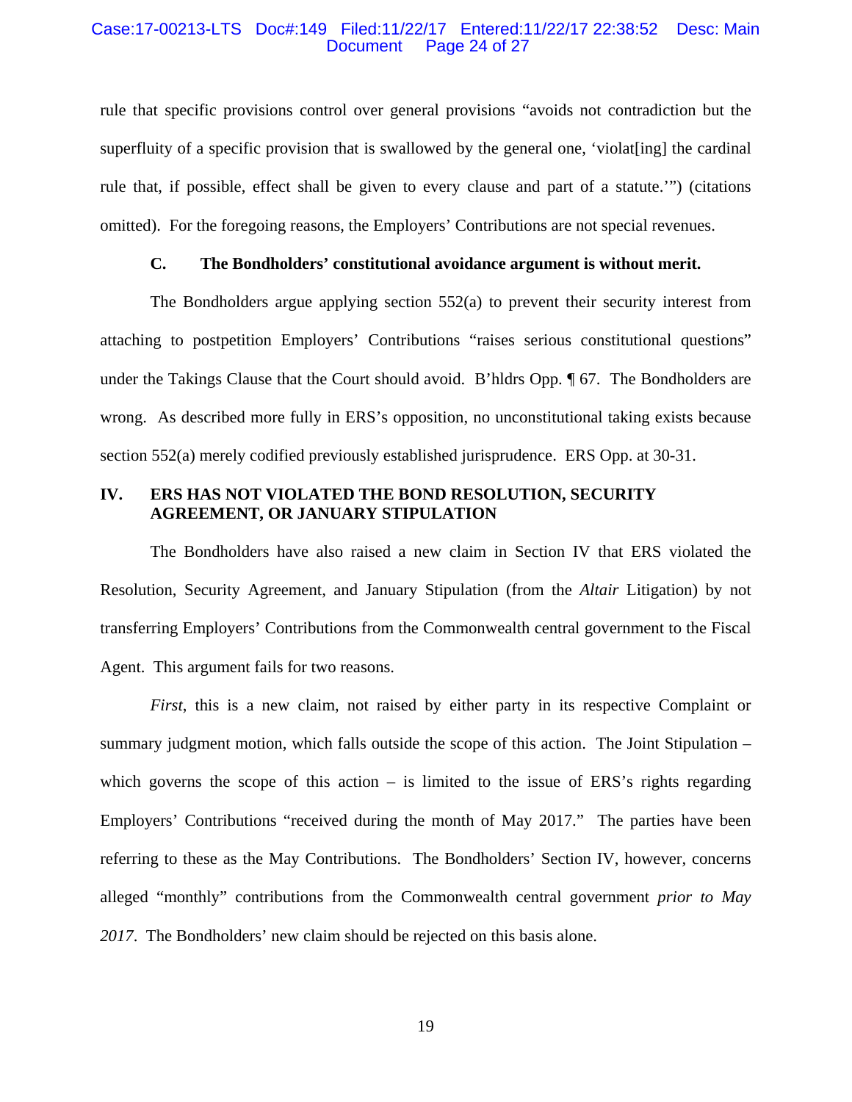#### Case:17-00213-LTS Doc#:149 Filed:11/22/17 Entered:11/22/17 22:38:52 Desc: Main Page 24 of 27

rule that specific provisions control over general provisions "avoids not contradiction but the superfluity of a specific provision that is swallowed by the general one, 'violat[ing] the cardinal rule that, if possible, effect shall be given to every clause and part of a statute.'") (citations omitted). For the foregoing reasons, the Employers' Contributions are not special revenues.

# **C. The Bondholders' constitutional avoidance argument is without merit.**

The Bondholders argue applying section 552(a) to prevent their security interest from attaching to postpetition Employers' Contributions "raises serious constitutional questions" under the Takings Clause that the Court should avoid. B'hldrs Opp. ¶ 67. The Bondholders are wrong. As described more fully in ERS's opposition, no unconstitutional taking exists because section 552(a) merely codified previously established jurisprudence. ERS Opp. at 30-31.

# **IV. ERS HAS NOT VIOLATED THE BOND RESOLUTION, SECURITY AGREEMENT, OR JANUARY STIPULATION**

The Bondholders have also raised a new claim in Section IV that ERS violated the Resolution, Security Agreement, and January Stipulation (from the *Altair* Litigation) by not transferring Employers' Contributions from the Commonwealth central government to the Fiscal Agent. This argument fails for two reasons.

*First*, this is a new claim, not raised by either party in its respective Complaint or summary judgment motion, which falls outside the scope of this action. The Joint Stipulation – which governs the scope of this action – is limited to the issue of  $ERS's$  rights regarding Employers' Contributions "received during the month of May 2017." The parties have been referring to these as the May Contributions. The Bondholders' Section IV, however, concerns alleged "monthly" contributions from the Commonwealth central government *prior to May 2017*. The Bondholders' new claim should be rejected on this basis alone.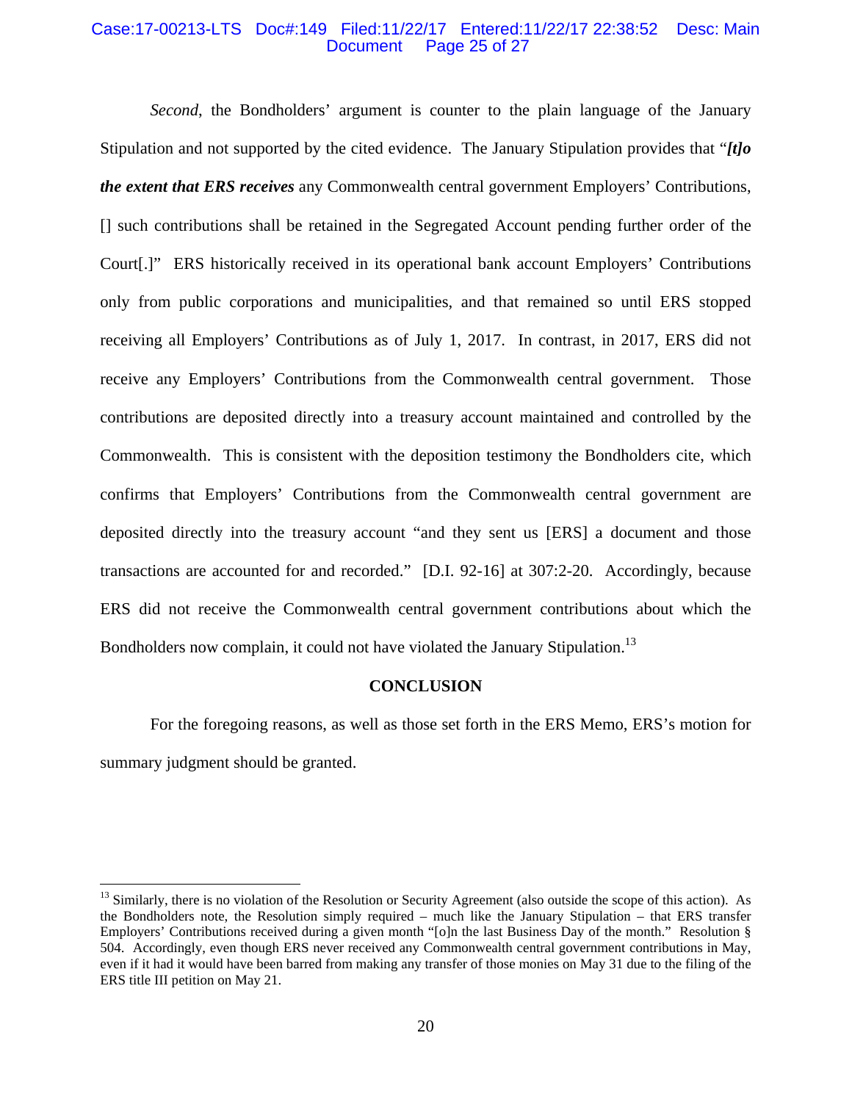#### Case:17-00213-LTS Doc#:149 Filed:11/22/17 Entered:11/22/17 22:38:52 Desc: Main Page 25 of 27

*Second*, the Bondholders' argument is counter to the plain language of the January Stipulation and not supported by the cited evidence. The January Stipulation provides that "*[t]o the extent that ERS receives* any Commonwealth central government Employers' Contributions, [] such contributions shall be retained in the Segregated Account pending further order of the Court[.]" ERS historically received in its operational bank account Employers' Contributions only from public corporations and municipalities, and that remained so until ERS stopped receiving all Employers' Contributions as of July 1, 2017. In contrast, in 2017, ERS did not receive any Employers' Contributions from the Commonwealth central government. Those contributions are deposited directly into a treasury account maintained and controlled by the Commonwealth. This is consistent with the deposition testimony the Bondholders cite, which confirms that Employers' Contributions from the Commonwealth central government are deposited directly into the treasury account "and they sent us [ERS] a document and those transactions are accounted for and recorded." [D.I. 92-16] at 307:2-20. Accordingly, because ERS did not receive the Commonwealth central government contributions about which the Bondholders now complain, it could not have violated the January Stipulation.<sup>13</sup>

#### **CONCLUSION**

 For the foregoing reasons, as well as those set forth in the ERS Memo, ERS's motion for summary judgment should be granted.

<u>.</u>

<sup>&</sup>lt;sup>13</sup> Similarly, there is no violation of the Resolution or Security Agreement (also outside the scope of this action). As the Bondholders note, the Resolution simply required – much like the January Stipulation – that ERS transfer Employers' Contributions received during a given month "[o]n the last Business Day of the month." Resolution § 504. Accordingly, even though ERS never received any Commonwealth central government contributions in May, even if it had it would have been barred from making any transfer of those monies on May 31 due to the filing of the ERS title III petition on May 21.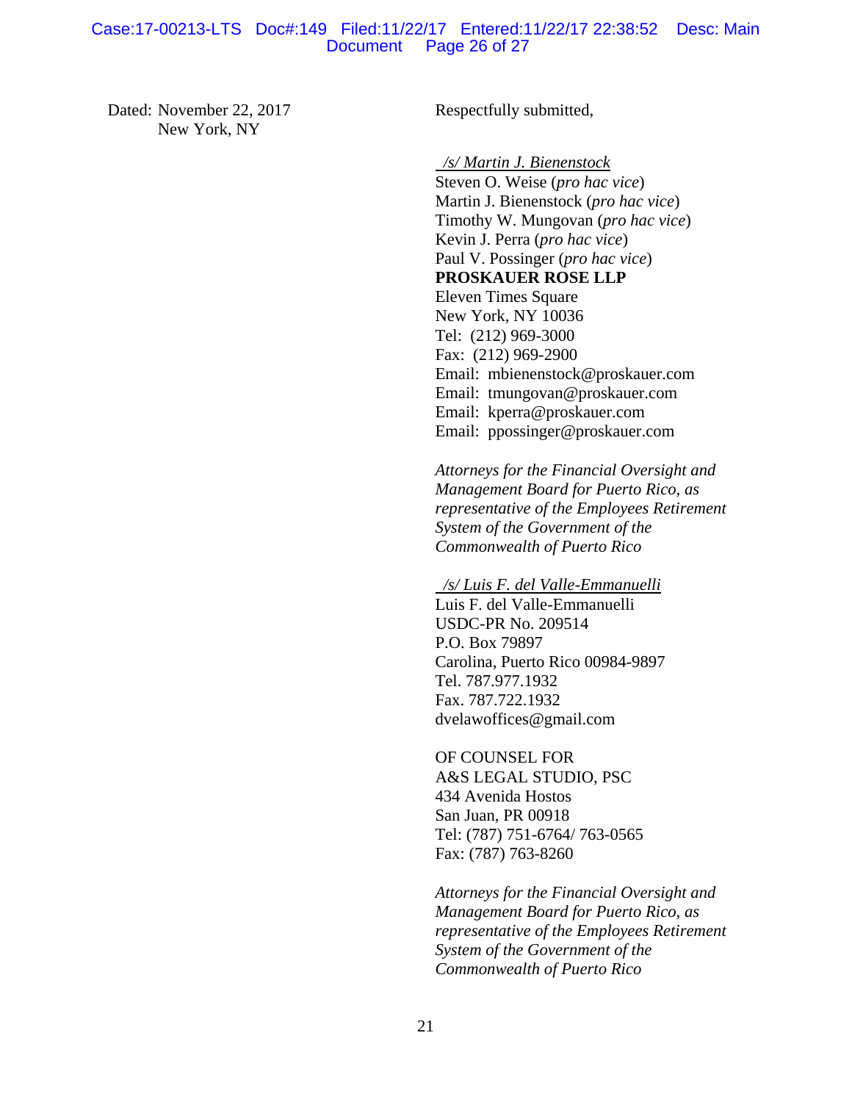#### Case:17-00213-LTS Doc#:149 Filed:11/22/17 Entered:11/22/17 22:38:52 Desc: Main Page 26 of 27

Dated: November 22, 2017 New York, NY

Respectfully submitted,

 */s/ Martin J. Bienenstock*  Steven O. Weise (*pro hac vice*) Martin J. Bienenstock (*pro hac vice*) Timothy W. Mungovan (*pro hac vice*) Kevin J. Perra (*pro hac vice*) Paul V. Possinger (*pro hac vice*) **PROSKAUER ROSE LLP** Eleven Times Square New York, NY 10036 Tel: (212) 969-3000 Fax: (212) 969-2900 Email: mbienenstock@proskauer.com Email: tmungovan@proskauer.com Email: kperra@proskauer.com Email: ppossinger@proskauer.com

*Attorneys for the Financial Oversight and Management Board for Puerto Rico, as representative of the Employees Retirement System of the Government of the Commonwealth of Puerto Rico*

 */s/ Luis F. del Valle-Emmanuelli* 

Luis F. del Valle-Emmanuelli USDC-PR No. 209514 P.O. Box 79897 Carolina, Puerto Rico 00984-9897 Tel. 787.977.1932 Fax. 787.722.1932 dvelawoffices@gmail.com

OF COUNSEL FOR A&S LEGAL STUDIO, PSC 434 Avenida Hostos San Juan, PR 00918 Tel: (787) 751-6764/ 763-0565 Fax: (787) 763-8260

*Attorneys for the Financial Oversight and Management Board for Puerto Rico, as representative of the Employees Retirement System of the Government of the Commonwealth of Puerto Rico*